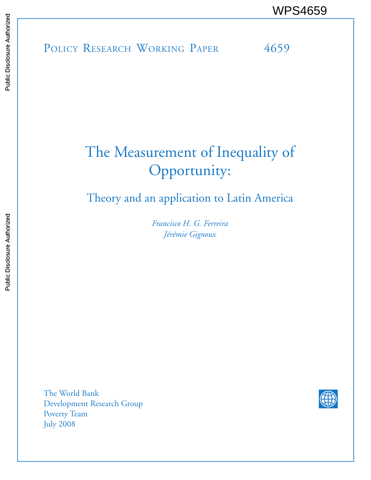# The Measurement of Inequality of Opportunity:

Theory and an application to Latin America

*Francisco H. G. Ferreira Jérémie Gignoux*

The World Bank Development Research Group Poverty Team July 2008

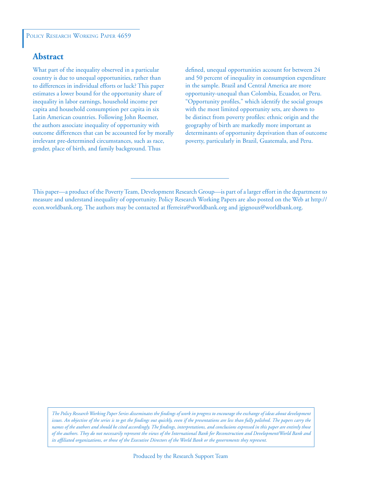# **Abstract**

What part of the inequality observed in a particular country is due to unequal opportunities, rather than to differences in individual efforts or luck? This paper estimates a lower bound for the opportunity share of inequality in labor earnings, household income per capita and household consumption per capita in six Latin American countries. Following John Roemer, the authors associate inequality of opportunity with outcome differences that can be accounted for by morally irrelevant pre-determined circumstances, such as race, gender, place of birth, and family background. Thus

defined, unequal opportunities account for between 24 and 50 percent of inequality in consumption expenditure in the sample. Brazil and Central America are more opportunity-unequal than Colombia, Ecuador, or Peru. "Opportunity profiles," which identify the social groups with the most limited opportunity sets, are shown to be distinct from poverty profiles: ethnic origin and the geography of birth are markedly more important as determinants of opportunity deprivation than of outcome poverty, particularly in Brazil, Guatemala, and Peru.

*The Policy Research Working Paper Series disseminates the findings of work in progress to encourage the exchange of ideas about development*  issues. An objective of the series is to get the findings out quickly, even if the presentations are less than fully polished. The papers carry the *names of the authors and should be cited accordingly. The findings, interpretations, and conclusions expressed in this paper are entirely those of the authors. They do not necessarily represent the views of the International Bank for Reconstruction and Development/World Bank and its affiliated organizations, or those of the Executive Directors of the World Bank or the governments they represent.*

This paper—a product of the Poverty Team, Development Research Group—is part of a larger effort in the department to measure and understand inequality of opportunity. Policy Research Working Papers are also posted on the Web at http:// econ.worldbank.org. The authors may be contacted at fferreira@worldbank.org and jgignoux@worldbank.org.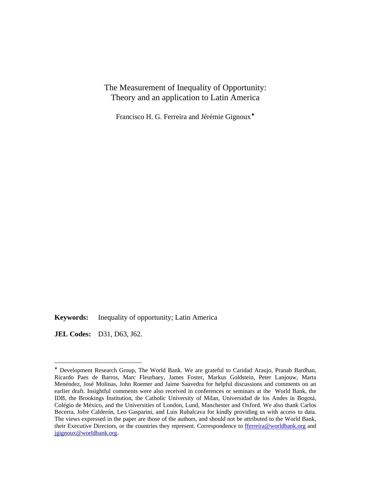The Measurement of Inequality of Opportunity: Theory and an application to Latin America

Francisco H. G. Ferreira and Jérémie Gignoux[♦](#page-2-0)

**Keywords:** Inequality of opportunity; Latin America

**JEL Codes:** D31, D63, J62.

<u>.</u>

<span id="page-2-0"></span><sup>♦</sup> Development Research Group, The World Bank. We are grateful to Caridad Araujo, Pranab Bardhan, Ricardo Paes de Barros, Marc Fleurbaey, James Foster, Markus Goldstein, Peter Lanjouw, Marta Menéndez, José Molinas, John Roemer and Jaime Saavedra for helpful discussions and comments on an earlier draft. Insightful comments were also received in conferences or seminars at the World Bank, the IDB, the Brookings Institution, the Catholic University of Milan, Universidad de los Andes in Bogotá, Colégio de México, and the Universities of London, Lund, Manchester and Oxford. We also thank Carlos Becerra, Jofre Calderón, Leo Gasparini, and Luis Rubalcava for kindly providing us with access to data. The views expressed in the paper are those of the authors, and should not be attributed to the World Bank, their Executive Directors, or the countries they represent. Correspondence to fferreira@worldbank.org and jgignoux@worldbank.org.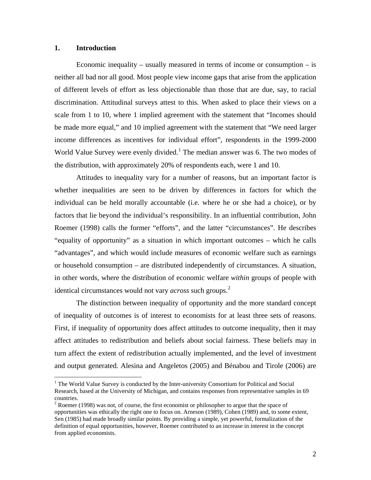### **1. Introduction**

 $\overline{a}$ 

Economic inequality – usually measured in terms of income or consumption – is neither all bad nor all good. Most people view income gaps that arise from the application of different levels of effort as less objectionable than those that are due, say, to racial discrimination. Attitudinal surveys attest to this. When asked to place their views on a scale from 1 to 10, where 1 implied agreement with the statement that "Incomes should be made more equal," and 10 implied agreement with the statement that "We need larger income differences as incentives for individual effort", respondents in the 1999-2000 World Value Survey were evenly divided.<sup>[1](#page-3-0)</sup> The median answer was 6. The two modes of the distribution, with approximately 20% of respondents each, were 1 and 10.

Attitudes to inequality vary for a number of reasons, but an important factor is whether inequalities are seen to be driven by differences in factors for which the individual can be held morally accountable (i.e. where he or she had a choice), or by factors that lie beyond the individual's responsibility. In an influential contribution, John Roemer (1998) calls the former "efforts", and the latter "circumstances". He describes "equality of opportunity" as a situation in which important outcomes – which he calls "advantages", and which would include measures of economic welfare such as earnings or household consumption – are distributed independently of circumstances. A situation, in other words, where the distribution of economic welfare *within* groups of people with identical circumstances would not vary *across* such groups.<sup>[2](#page-3-1)</sup>

The distinction between inequality of opportunity and the more standard concept of inequality of outcomes is of interest to economists for at least three sets of reasons. First, if inequality of opportunity does affect attitudes to outcome inequality, then it may affect attitudes to redistribution and beliefs about social fairness. These beliefs may in turn affect the extent of redistribution actually implemented, and the level of investment and output generated. Alesina and Angeletos (2005) and Bénabou and Tirole (2006) are

<sup>&</sup>lt;sup>1</sup> The World Value Survey is conducted by the Inter-university Consortium for Political and Social Research, based at the University of Michigan, and contains responses from representative samples in 69 countries.

<span id="page-3-1"></span><span id="page-3-0"></span> $2^{2}$  Roemer (1998) was not, of course, the first economist or philosopher to argue that the space of opportunities was ethically the right one to focus on. Arneson (1989), Cohen (1989) and, to some extent, Sen (1985) had made broadly similar points. By providing a simple, yet powerful, formalization of the definition of equal opportunities, however, Roemer contributed to an increase in interest in the concept from applied economists.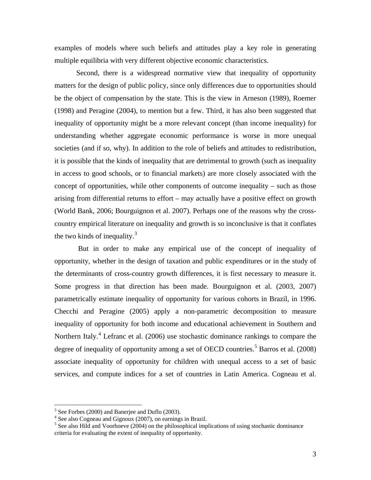examples of models where such beliefs and attitudes play a key role in generating multiple equilibria with very different objective economic characteristics.

Second, there is a widespread normative view that inequality of opportunity matters for the design of public policy, since only differences due to opportunities should be the object of compensation by the state. This is the view in Arneson (1989), Roemer (1998) and Peragine (2004), to mention but a few. Third, it has also been suggested that inequality of opportunity might be a more relevant concept (than income inequality) for understanding whether aggregate economic performance is worse in more unequal societies (and if so, why). In addition to the role of beliefs and attitudes to redistribution, it is possible that the kinds of inequality that are detrimental to growth (such as inequality in access to good schools, or to financial markets) are more closely associated with the concept of opportunities, while other components of outcome inequality – such as those arising from differential returns to effort – may actually have a positive effect on growth (World Bank, 2006; Bourguignon et al. 2007). Perhaps one of the reasons why the crosscountry empirical literature on inequality and growth is so inconclusive is that it conflates the two kinds of inequality. $3$ 

 But in order to make any empirical use of the concept of inequality of opportunity, whether in the design of taxation and public expenditures or in the study of the determinants of cross-country growth differences, it is first necessary to measure it. Some progress in that direction has been made. Bourguignon et al. (2003, 2007) parametrically estimate inequality of opportunity for various cohorts in Brazil, in 1996. Checchi and Peragine (2005) apply a non-parametric decomposition to measure inequality of opportunity for both income and educational achievement in Southern and Northern Italy.<sup>[4](#page-4-1)</sup> Lefranc et al. (2006) use stochastic dominance rankings to compare the degree of inequality of opportunity among a set of OECD countries.<sup>[5](#page-4-2)</sup> Barros et al. (2008) associate inequality of opportunity for children with unequal access to a set of basic services, and compute indices for a set of countries in Latin America. Cogneau et al.

<sup>&</sup>lt;sup>3</sup> See Forbes (2000) and Banerjee and Duflo (2003).

<sup>&</sup>lt;sup>4</sup> See also Cogneau and Gignoux (2007), on earnings in Brazil.

<span id="page-4-2"></span><span id="page-4-1"></span><span id="page-4-0"></span><sup>&</sup>lt;sup>5</sup> See also Hild and Voorhoeve (2004) on the philosophical implications of using stochastic dominance criteria for evaluating the extent of inequality of opportunity.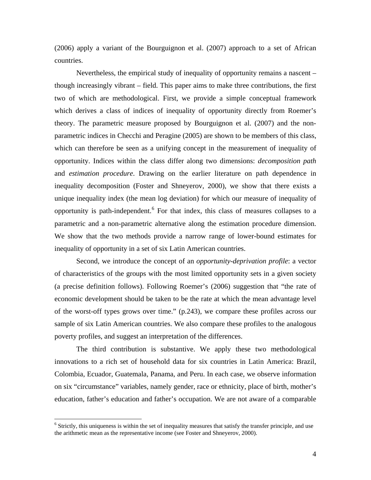(2006) apply a variant of the Bourguignon et al. (2007) approach to a set of African countries.

Nevertheless, the empirical study of inequality of opportunity remains a nascent – though increasingly vibrant – field. This paper aims to make three contributions, the first two of which are methodological. First, we provide a simple conceptual framework which derives a class of indices of inequality of opportunity directly from Roemer's theory. The parametric measure proposed by Bourguignon et al. (2007) and the nonparametric indices in Checchi and Peragine (2005) are shown to be members of this class, which can therefore be seen as a unifying concept in the measurement of inequality of opportunity. Indices within the class differ along two dimensions: *decomposition path* and *estimation procedure*. Drawing on the earlier literature on path dependence in inequality decomposition (Foster and Shneyerov, 2000), we show that there exists a unique inequality index (the mean log deviation) for which our measure of inequality of opportunity is path-independent. <sup>[6](#page-5-0)</sup> For that index, this class of measures collapses to a parametric and a non-parametric alternative along the estimation procedure dimension. We show that the two methods provide a narrow range of lower-bound estimates for inequality of opportunity in a set of six Latin American countries.

Second, we introduce the concept of an *opportunity-deprivation profile*: a vector of characteristics of the groups with the most limited opportunity sets in a given society (a precise definition follows). Following Roemer's (2006) suggestion that "the rate of economic development should be taken to be the rate at which the mean advantage level of the worst-off types grows over time." (p.243), we compare these profiles across our sample of six Latin American countries. We also compare these profiles to the analogous poverty profiles, and suggest an interpretation of the differences.

The third contribution is substantive. We apply these two methodological innovations to a rich set of household data for six countries in Latin America: Brazil, Colombia, Ecuador, Guatemala, Panama, and Peru. In each case, we observe information on six "circumstance" variables, namely gender, race or ethnicity, place of birth, mother's education, father's education and father's occupation. We are not aware of a comparable

<span id="page-5-0"></span><sup>&</sup>lt;sup>6</sup> Strictly, this uniqueness is within the set of inequality measures that satisfy the transfer principle, and use the arithmetic mean as the representative income (see Foster and Shneyerov, 2000).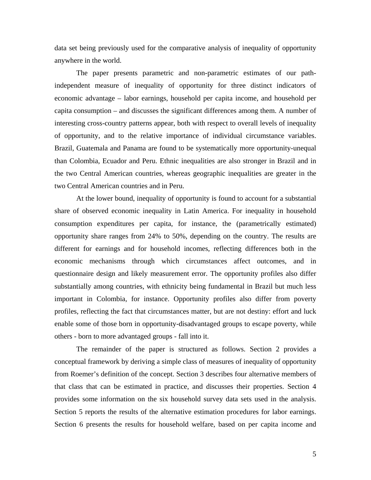data set being previously used for the comparative analysis of inequality of opportunity anywhere in the world.

The paper presents parametric and non-parametric estimates of our pathindependent measure of inequality of opportunity for three distinct indicators of economic advantage – labor earnings, household per capita income, and household per capita consumption – and discusses the significant differences among them. A number of interesting cross-country patterns appear, both with respect to overall levels of inequality of opportunity, and to the relative importance of individual circumstance variables. Brazil, Guatemala and Panama are found to be systematically more opportunity-unequal than Colombia, Ecuador and Peru. Ethnic inequalities are also stronger in Brazil and in the two Central American countries, whereas geographic inequalities are greater in the two Central American countries and in Peru.

At the lower bound, inequality of opportunity is found to account for a substantial share of observed economic inequality in Latin America. For inequality in household consumption expenditures per capita, for instance, the (parametrically estimated) opportunity share ranges from 24% to 50%, depending on the country. The results are different for earnings and for household incomes, reflecting differences both in the economic mechanisms through which circumstances affect outcomes, and in questionnaire design and likely measurement error. The opportunity profiles also differ substantially among countries, with ethnicity being fundamental in Brazil but much less important in Colombia, for instance. Opportunity profiles also differ from poverty profiles, reflecting the fact that circumstances matter, but are not destiny: effort and luck enable some of those born in opportunity-disadvantaged groups to escape poverty, while others - born to more advantaged groups - fall into it.

The remainder of the paper is structured as follows. Section 2 provides a conceptual framework by deriving a simple class of measures of inequality of opportunity from Roemer's definition of the concept. Section 3 describes four alternative members of that class that can be estimated in practice, and discusses their properties. Section 4 provides some information on the six household survey data sets used in the analysis. Section 5 reports the results of the alternative estimation procedures for labor earnings. Section 6 presents the results for household welfare, based on per capita income and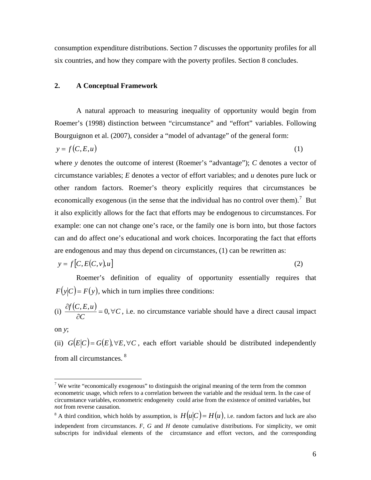consumption expenditure distributions. Section 7 discusses the opportunity profiles for all six countries, and how they compare with the poverty profiles. Section 8 concludes.

#### **2. A Conceptual Framework**

A natural approach to measuring inequality of opportunity would begin from Roemer's (1998) distinction between "circumstance" and "effort" variables. Following Bourguignon et al. (2007), consider a "model of advantage" of the general form:

$$
y = f(C, E, u) \tag{1}
$$

where *y* denotes the outcome of interest (Roemer's "advantage"); *C* denotes a vector of circumstance variables; *E* denotes a vector of effort variables; and *u* denotes pure luck or other random factors. Roemer's theory explicitly requires that circumstances be economically exogenous (in the sense that the individual has no control over them).<sup>[7](#page-7-0)</sup> But it also explicitly allows for the fact that efforts may be endogenous to circumstances. For example: one can not change one's race, or the family one is born into, but those factors can and do affect one's educational and work choices. Incorporating the fact that efforts are endogenous and may thus depend on circumstances, (1) can be rewritten as:

$$
y = f[C, E(C, v), u]
$$
 (2)

Roemer's definition of equality of opportunity essentially requires that  $F(y|C) = F(y)$ , which in turn implies three conditions:

(i) 
$$
\frac{\partial f(C, E, u)}{\partial C} = 0, \forall C
$$
, i.e. no circumstance variable should have a direct causal impact

on *y*;

1

(ii)  $G(E|C) = G(E), \forall E, \forall C$ , each effort variable should be distributed independently from all circumstances. [8](#page-7-1) 

<span id="page-7-0"></span><sup>&</sup>lt;sup>7</sup> We write "economically exogenous" to distinguish the original meaning of the term from the common econometric usage, which refers to a correlation between the variable and the residual term. In the case of circumstance variables, econometric endogeneity could arise from the existence of omitted variables, but *not* from reverse causation.

<span id="page-7-1"></span><sup>&</sup>lt;sup>8</sup> A third condition, which holds by assumption, is  $H(u|C) = H(u)$ , i.e. random factors and luck are also independent from circumstances. *F*, *G* and *H* denote cumulative distributions. For simplicity, we omit subscripts for individual elements of the circumstance and effort vectors, and the corresponding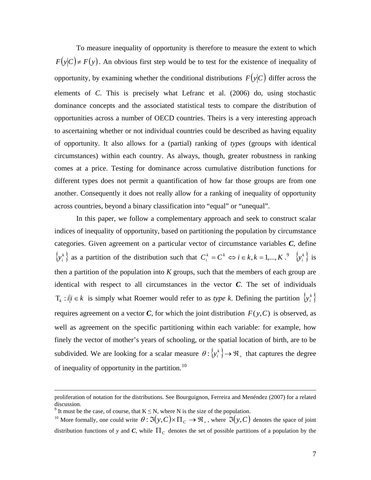To measure inequality of opportunity is therefore to measure the extent to which  $F(y|C) \neq F(y)$ . An obvious first step would be to test for the existence of inequality of opportunity, by examining whether the conditional distributions  $F(y|C)$  differ across the elements of *C*. This is precisely what Lefranc et al. (2006) do, using stochastic dominance concepts and the associated statistical tests to compare the distribution of opportunities across a number of OECD countries. Theirs is a very interesting approach to ascertaining whether or not individual countries could be described as having equality of opportunity. It also allows for a (partial) ranking of *types* (groups with identical circumstances) within each country. As always, though, greater robustness in ranking comes at a price. Testing for dominance across cumulative distribution functions for different types does not permit a quantification of how far those groups are from one another. Consequently it does not really allow for a ranking of inequality of opportunity across countries, beyond a binary classification into "equal" or "unequal".

In this paper, we follow a complementary approach and seek to construct scalar indices of inequality of opportunity, based on partitioning the population by circumstance categories. Given agreement on a particular vector of circumstance variables *C*, define  $\{y_i^k\}$  as a partition of the distribution such that  $C_i^k = C^k \Leftrightarrow i \in k, k = 1,..., K$ .  $\{y_i^k\}$  is then a partition of the population into  $K$  groups, such that the members of each group are identical with respect to all circumstances in the vector *C*. The set of individuals  $T_k$  :  $i | i \in k$  is simply what Roemer would refer to as *type k*. Defining the partition  $\{ y_i^k \}$ requires agreement on a vector *C*, for which the joint distribution  $F(y, C)$  is observed, as well as agreement on the specific partitioning within each variable: for example, how finely the vector of mother's years of schooling, or the spatial location of birth, are to be subdivided. We are looking for a scalar measure  $\theta$ :  $\{y_i^k\} \rightarrow \Re_{+}$  that captures the degree of inequality of opportunity in the partition.<sup>[10](#page-8-1)</sup>

proliferation of notation for the distributions. See Bourguignon, Ferreira and Menéndez (2007) for a related discussion.

<sup>&</sup>lt;sup>9</sup> It must be the case, of course, that  $K \le N$ , where N is the size of the population.

<span id="page-8-1"></span><span id="page-8-0"></span><sup>&</sup>lt;sup>10</sup> More formally, one could write  $\theta : \Im(y, C) \times \Pi_C \to \mathfrak{R}_+$ , where  $\Im(y, C)$  denotes the space of joint distribution functions of *y* and *C*, while  $\Pi_c$  denotes the set of possible partitions of a population by the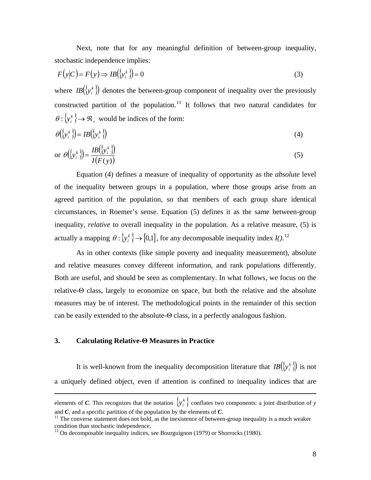Next, note that for any meaningful definition of between-group inequality, stochastic independence implies:

$$
F(y|C) = F(y) \Rightarrow IB(\lbrace y_i^k \rbrace) = 0
$$
\n(3)

where  $IB({\{y_i^k\}})$  denotes the between-group component of inequality over the previously constructed partition of the population.<sup>[11](#page-9-0)</sup> It follows that two natural candidates for  $\theta$  :  $\{y_i^k\}$   $\rightarrow$   $\mathfrak{R}_+$  would be indices of the form:

$$
\theta(\{y_i^k\}) = IB(\{y_i^k\})
$$
\n<sup>(4)</sup>

or 
$$
\theta(\lbrace y_i^k \rbrace) = \frac{IB(\lbrace y_i^k \rbrace)}{I(F(y))}
$$
 (5)

Equation (4) defines a measure of inequality of opportunity as the *absolute* level of the inequality between groups in a population, where those groups arise from an agreed partition of the population, so that members of each group share identical circumstances, in Roemer's sense. Equation (5) defines it as the same between-group inequality, *relative* to overall inequality in the population. As a relative measure, (5) is actually a mapping  $\theta: \{y_i^k\} \rightarrow [0,1]$ , for any decomposable inequality index *I*().<sup>[12](#page-9-1)</sup>

As in other contexts (like simple poverty and inequality measurement), absolute and relative measures convey different information, and rank populations differently. Both are useful, and should be seen as complementary. In what follows, we focus on the relative-Θ class, largely to economize on space, but both the relative and the absolute measures may be of interest. The methodological points in the remainder of this section can be easily extended to the absolute-Θ class, in a perfectly analogous fashion.

### **3. Calculating Relative-Θ Measures in Practice**

 $\overline{a}$ 

It is well-known from the inequality decomposition literature that  $IB({\cal Y}^k_i)$  is not a uniquely defined object, even if attention is confined to inequality indices that are

elements of *C*. This recognizes that the notation  $\{y_i^k\}$  conflates two components: a joint distribution of *y* and  $C$ , and a specific partition of the population by the elements of  $C$ .<br><sup>11</sup> The converse statement does not hold, as the inexistence of between-group inequality is a much weaker

<span id="page-9-0"></span>condition than stochastic independence.

<span id="page-9-1"></span> $12$  On decomposable inequality indices, see Bourguignon (1979) or Shorrocks (1980).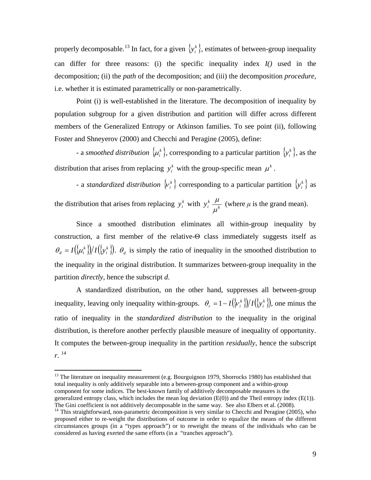properly decomposable.<sup>13</sup> In fact, for a given  $\{y_i^k\}$ , estimates of between-group inequality can differ for three reasons: (i) the specific inequality index *I()* used in the decomposition; (ii) the *path* of the decomposition; and (iii) the decomposition *procedure*, i.e. whether it is estimated parametrically or non-parametrically.

Point (i) is well-established in the literature. The decomposition of inequality by population subgroup for a given distribution and partition will differ across different members of the Generalized Entropy or Atkinson families. To see point (ii), following Foster and Shneyerov (2000) and Checchi and Peragine (2005), define:

- a *smoothed distribution*  $\{\mu_i^k\}$ , corresponding to a particular partition  $\{y_i^k\}$ , as the distribution that arises from replacing  $y_i^k$  with the group-specific mean  $\mu^k$ .

- a *standardized distribution*  $\{v_i^k\}$  corresponding to a particular partition  $\{y_i^k\}$  as

the distribution that arises from replacing  $y_i^k$  with  $y_i^k \frac{\mu}{\mu^k}$  $\frac{\mu}{\mu}$  (where  $\mu$  is the grand mean).

Since a smoothed distribution eliminates all within-group inequality by construction, a first member of the relative-Θ class immediately suggests itself as  $(\{\mu_i^k\})/I(\{\mathbf{y}_i^k\})$  $\theta_d = I(\mu_i^k)/I(\mu_i^k)$ .  $\theta_d$  is simply the ratio of inequality in the smoothed distribution to the inequality in the original distribution. It summarizes between-group inequality in the partition *directly*, hence the subscript *d*.

A standardized distribution, on the other hand, suppresses all between-group inequality, leaving only inequality within-groups.  $\theta_r = 1 - I(\{\nu_i^k\})/I(\{\nu_i^k\})$  $\theta_r = 1 - I(\nu_i^k)/I(\nu_i^k)$ , one minus the ratio of inequality in the *standardized distribution* to the inequality in the original distribution, is therefore another perfectly plausible measure of inequality of opportunity. It computes the between-group inequality in the partition *residually*, hence the subscript *r*. [14](#page-10-1)

<sup>13</sup> The literature on inequality measurement (e.g. Bourguignon 1979, Shorrocks 1980) has established that total inequality is only additively separable into a between-group component and a within-group component for some indices. The best-known family of additively decomposable measures is the generalized entropy class, which includes the mean log deviation  $(E(0))$  and the Theil entropy index  $(E(1))$ .

<span id="page-10-1"></span><span id="page-10-0"></span>The Gini coefficient is not additively decomposable in the same way. See also Elbers et al. (2008). 14 This straightforward, non-parametric decomposition is very similar to Checchi and Peragine (2005), who proposed either to re-weight the distributions of outcome in order to equalize the means of the different circumstances groups (in a "types approach") or to reweight the means of the individuals who can be considered as having exerted the same efforts (in a "tranches approach").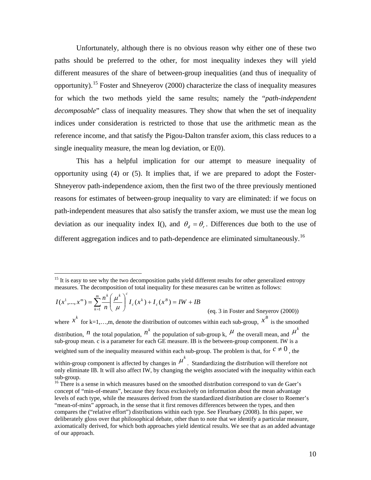<span id="page-11-0"></span>Unfortunately, although there is no obvious reason why either one of these two paths should be preferred to the other, for most inequality indexes they will yield different measures of the share of between-group inequalities (and thus of inequality of opportunity).<sup>15</sup> Foster and Shneyerov (2000) characterize the class of inequality measures for which the two methods yield the same results; namely the "*path-independent decomposable*" class of inequality measures. They show that when the set of inequality indices under consideration is restricted to those that use the arithmetic mean as the reference income, and that satisfy the Pigou-Dalton transfer axiom, this class reduces to a single inequality measure, the mean log deviation, or E(0).

This has a helpful implication for our attempt to measure inequality of opportunity using (4) or (5). It implies that, if we are prepared to adopt the Foster-Shneyerov path-independence axiom, then the first two of the three previously mentioned reasons for estimates of between-group inequality to vary are eliminated: if we focus on path-independent measures that also satisfy the transfer axiom, we must use the mean log deviation as our inequality index I(), and  $\theta_a = \theta_c$ . Differences due both to the use of different aggregation indices and to path-dependence are eliminated simultaneously.<sup>[16](#page-11-0)</sup>

$$
I(x^1, ..., x^m) = \sum_{k=1}^m \frac{n^k}{n} \left(\frac{\mu^k}{\mu}\right)^c I_c(x^k) + I_c(x^B) = IW + IB
$$
\n(eq. 3 in Foster and Sneyerov (2000))

<u>.</u>

where  $x^k$  for k=1,...,m, denote the distribution of outcomes within each sub-group,  $x^B$  is the smoothed distribution, *n* the total population, *n*<sup>k</sup> the population of sub-group k,  $\mu$  the overall mean, and  $\mu$ <sup>k</sup> the sub-group mean. c is a parameter for each GE measure. IB is the between-group component. IW is a weighted sum of the inequality measured within each sub-group. The problem is that, for  $c \neq 0$ , the

 $15$  It is easy to see why the two decomposition paths yield different results for other generalized entropy measures. The decomposition of total inequality for these measures can be written as follows:

within-group component is affected by changes in  $\mu^k$ . Standardizing the distribution will therefore not only eliminate IB. It will also affect IW, by changing the weights associated with the inequality within each sub-group.

<sup>&</sup>lt;sup>16</sup> There is a sense in which measures based on the smoothed distribution correspond to van de Gaer's concept of "min-of-means", because they focus exclusively on information about the mean advantage levels of each type, while the measures derived from the standardized distribution are closer to Roemer's "mean-of-mins" approach, in the sense that it first removes differences between the types, and then compares the ("relative effort") distributions within each type. See Fleurbaey (2008). In this paper, we deliberately gloss over that philosophical debate, other than to note that we identify a particular measure, axiomatically derived, for which both approaches yield identical results. We see that as an added advantage of our approach.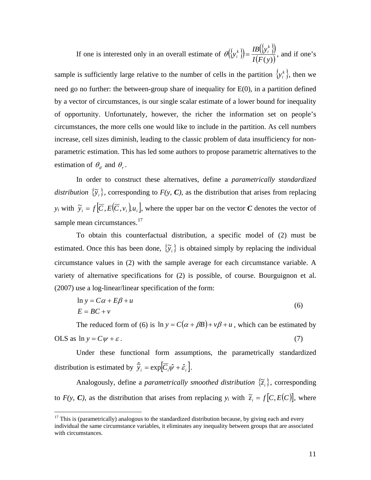<span id="page-12-0"></span>If one is interested only in an overall estimate of  $\theta({y_i^k}) = \frac{IB({y_i^k})}{I(S_i)}$  $I(F(y))$  $y_i^k$ } $=$  $\frac{IB(\lbrace y \rbrace)}{IA}$  $heta(\{y_i^k\}) = \frac{IB(\{y_i^k\})}{I(F(\epsilon))},$  and if one's

sample is sufficiently large relative to the number of cells in the partition  $\{y_i^k\}$ , then we need go no further: the between-group share of inequality for E(0), in a partition defined by a vector of circumstances, is our single scalar estimate of a lower bound for inequality of opportunity. Unfortunately, however, the richer the information set on people's circumstances, the more cells one would like to include in the partition. As cell numbers increase, cell sizes diminish, leading to the classic problem of data insufficiency for nonparametric estimation. This has led some authors to propose parametric alternatives to the estimation of  $\theta_d$  and  $\theta_r$ .

In order to construct these alternatives, define a *parametrically standardized distribution*  $\{\tilde{y}_i\}$ , corresponding to  $F(y, C)$ , as the distribution that arises from replacing *y<sub>i</sub>* with  $\tilde{y}_i = f[\overline{C}, E(\overline{C}, v_i), u_i]$ , where the upper bar on the vector *C* denotes the vector of sample mean circumstances.<sup>17</sup>

To obtain this counterfactual distribution, a specific model of (2) must be estimated. Once this has been done,  $\{\tilde{y}_i\}$  is obtained simply by replacing the individual circumstance values in (2) with the sample average for each circumstance variable. A variety of alternative specifications for (2) is possible, of course. Bourguignon et al. (2007) use a log-linear/linear specification of the form:

$$
\ln y = C\alpha + E\beta + u
$$
  
\n
$$
E = BC + v
$$
\n(6)

The reduced form of (6) is  $\ln y = C(\alpha + \beta B) + v\beta + u$ , which can be estimated by OLS as  $\ln y = C\psi + \varepsilon$ . (7)

Under these functional form assumptions, the parametrically standardized distribution is estimated by  $\hat{y}_i = \exp[\overline{C_i}\hat{\psi} + \hat{\varepsilon}_i].$ 

Analogously, define a *parametrically smoothed distribution*  $\{\tilde{z}_i\}$ , corresponding to  $F(y, C)$ , as the distribution that arises from replacing  $y_i$  with  $\tilde{z}_i = f[C, E(C)]$ , where

1

 $17$  This is (parametrically) analogous to the standardized distribution because, by giving each and every individual the same circumstance variables, it eliminates any inequality between groups that are associated with circumstances.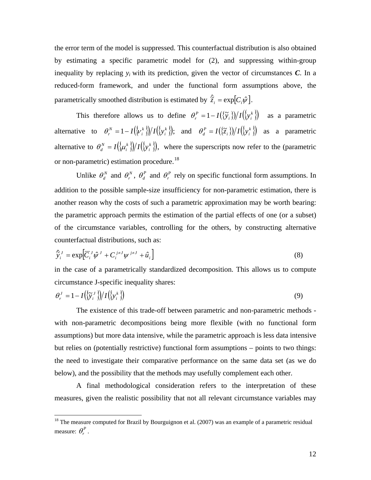<span id="page-13-0"></span>the error term of the model is suppressed. This counterfactual distribution is also obtained by estimating a specific parametric model for (2), and suppressing within-group inequality by replacing  $y_i$  with its prediction, given the vector of circumstances  $C$ . In a reduced-form framework, and under the functional form assumptions above, the parametrically smoothed distribution is estimated by  $\hat{z}_i = \exp[C_i \hat{\psi}]$ .

This therefore allows us to define  $\theta_r^P = 1 - I({\{\tilde{\mathbf{y}}_i\}})/I({\{\mathbf{y}_i^k\}})$  $\theta_r^P = 1 - I(\{\tilde{\mathbf{y}}_i\})/I(\{\mathbf{y}_i^k\})$  as a parametric alternative to  ${\theta}_r^N = 1 - I({\nu_i^k})/I({\nu_i^k})$ *k i*  $\theta_r^N = 1 - I(\{\nu_i^k\})/I(\{\nu_i^k\})$ ; and  $\theta_d^P = I(\{\tilde{z}_i\})/I(\{\nu_i^k\})$  $\theta_d^P = I(\{\tilde{z}_i\})/I(\{y_i^k\})$  as a parametric alternative to  $\theta_d^N = I({\mu_i^k})/I({\nu_i^k})$ *k i*  $\theta_d^N = I(\mu_i^k)/I(\mu_i^k)$ , where the superscripts now refer to the (parametric or non-parametric) estimation procedure.<sup>18</sup>

Unlike  $\theta_d^N$  and  $\theta_r^N$ ,  $\theta_d^P$  and  $\theta_r^P$  rely on specific functional form assumptions. In addition to the possible sample-size insufficiency for non-parametric estimation, there is another reason why the costs of such a parametric approximation may be worth bearing: the parametric approach permits the estimation of the partial effects of one (or a subset) of the circumstance variables, controlling for the others, by constructing alternative counterfactual distributions, such as:

$$
\hat{\tilde{y}}_i^J = \exp\left[\overline{C}_i^J \hat{\psi}^J + C_i^{j \neq J} \psi^{j \neq J} + \hat{u}_i^{\dagger}\right]
$$
\n(8)

in the case of a parametrically standardized decomposition. This allows us to compute circumstance J-specific inequality shares:

$$
\theta_r^J = 1 - I\left(\left\{\tilde{y}_i^J\right\}\right) / I\left(\left\{y_i^k\right\}\right) \tag{9}
$$

 The existence of this trade-off between parametric and non-parametric methods with non-parametric decompositions being more flexible (with no functional form assumptions) but more data intensive, while the parametric approach is less data intensive but relies on (potentially restrictive) functional form assumptions – points to two things: the need to investigate their comparative performance on the same data set (as we do below), and the possibility that the methods may usefully complement each other.

 A final methodological consideration refers to the interpretation of these measures, given the realistic possibility that not all relevant circumstance variables may

<u>.</u>

 $18$  The measure computed for Brazil by Bourguignon et al. (2007) was an example of a parametric residual measure:  $\theta_r^P$ .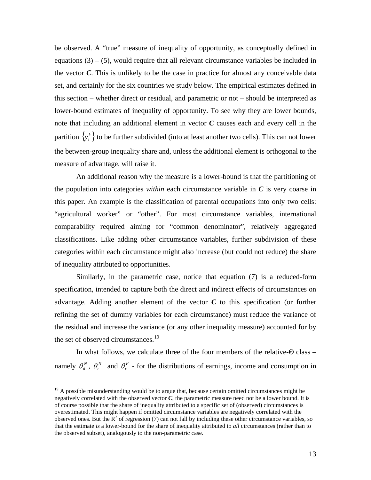<span id="page-14-0"></span>be observed. A "true" measure of inequality of opportunity, as conceptually defined in equations  $(3) - (5)$ , would require that all relevant circumstance variables be included in the vector *C*. This is unlikely to be the case in practice for almost any conceivable data set, and certainly for the six countries we study below. The empirical estimates defined in this section – whether direct or residual, and parametric or not – should be interpreted as lower-bound estimates of inequality of opportunity. To see why they are lower bounds, note that including an additional element in vector *C* causes each and every cell in the partition  $\{y_i^k\}$  to be further subdivided (into at least another two cells). This can not lower the between-group inequality share and, unless the additional element is orthogonal to the measure of advantage, will raise it.

An additional reason why the measure is a lower-bound is that the partitioning of the population into categories *within* each circumstance variable in  $C$  is very coarse in this paper. An example is the classification of parental occupations into only two cells: "agricultural worker" or "other". For most circumstance variables, international comparability required aiming for "common denominator", relatively aggregated classifications. Like adding other circumstance variables, further subdivision of these categories within each circumstance might also increase (but could not reduce) the share of inequality attributed to opportunities.

 Similarly, in the parametric case, notice that equation (7) is a reduced-form specification, intended to capture both the direct and indirect effects of circumstances on advantage. Adding another element of the vector *C* to this specification (or further refining the set of dummy variables for each circumstance) must reduce the variance of the residual and increase the variance (or any other inequality measure) accounted for by the set of observed circumstances.<sup>19</sup>

In what follows, we calculate three of the four members of the relative-Θ class – namely  $\theta_d^N$ ,  $\theta_r^N$  and  $\theta_r^P$  - for the distributions of earnings, income and consumption in

<u>.</u>

 $19<sup>19</sup>$  A possible misunderstanding would be to argue that, because certain omitted circumstances might be negatively correlated with the observed vector *C*, the parametric measure need not be a lower bound. It is of course possible that the share of inequality attributed to a specific set of (observed) circumstances is overestimated. This might happen if omitted circumstance variables are negatively correlated with the observed ones. But the  $R^2$  of regression (7) can not fall by including these other circumstance variables, so that the estimate *is* a lower-bound for the share of inequality attributed to *all* circumstances (rather than to the observed subset), analogously to the non-parametric case.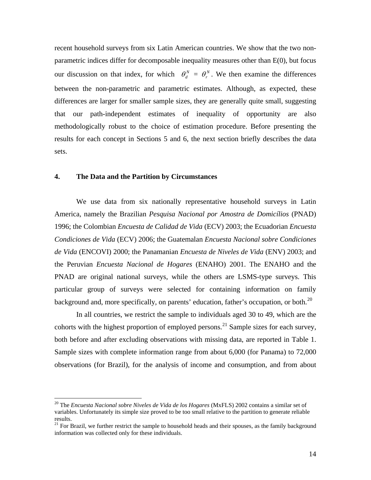<span id="page-15-0"></span>recent household surveys from six Latin American countries. We show that the two nonparametric indices differ for decomposable inequality measures other than E(0), but focus our discussion on that index, for which  $\theta_d^N = \theta_r^N$ . We then examine the differences between the non-parametric and parametric estimates. Although, as expected, these differences are larger for smaller sample sizes, they are generally quite small, suggesting that our path-independent estimates of inequality of opportunity are also methodologically robust to the choice of estimation procedure. Before presenting the results for each concept in Sections 5 and 6, the next section briefly describes the data sets.

### **4. The Data and the Partition by Circumstances**

1

We use data from six nationally representative household surveys in Latin America, namely the Brazilian *Pesquisa Nacional por Amostra de Domicílios* (PNAD) 1996; the Colombian *Encuesta de Calidad de Vida* (ECV) 2003; the Ecuadorian *Encuesta Condiciones de Vida* (ECV) 2006; the Guatemalan *Encuesta Nacional sobre Condiciones de Vida* (ENCOVI) 2000; the Panamanian *Encuesta de Niveles de Vida* (ENV) 2003; and the Peruvian *Encuesta Nacional de Hogares* (ENAHO) 2001. The ENAHO and the PNAD are original national surveys, while the others are LSMS-type surveys. This particular group of surveys were selected for containing information on family background and, more specifically, on parents' education, father's occupation, or both.<sup>[20](#page-15-0)</sup>

In all countries, we restrict the sample to individuals aged 30 to 49, which are the cohorts with the highest proportion of employed persons.<sup>[21](#page-15-0)</sup> Sample sizes for each survey, both before and after excluding observations with missing data, are reported in Table 1. Sample sizes with complete information range from about 6,000 (for Panama) to 72,000 observations (for Brazil), for the analysis of income and consumption, and from about

<sup>20</sup> The *Encuesta Nacional sobre Niveles de Vida de los Hogares* (MxFLS) 2002 contains a similar set of variables. Unfortunately its simple size proved to be too small relative to the partition to generate reliable results.

<sup>&</sup>lt;sup>21</sup> For Brazil, we further restrict the sample to household heads and their spouses, as the family background information was collected only for these individuals.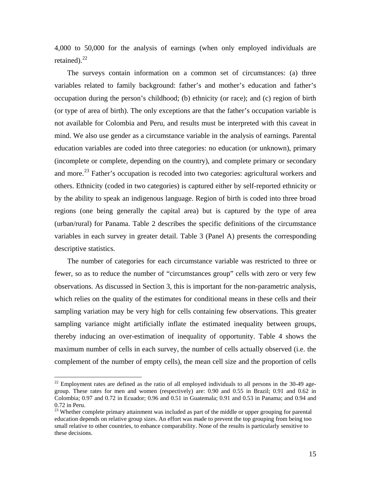<span id="page-16-0"></span>4,000 to 50,000 for the analysis of earnings (when only employed individuals are retained). $^{22}$  $^{22}$  $^{22}$ 

The surveys contain information on a common set of circumstances: (a) three variables related to family background: father's and mother's education and father's occupation during the person's childhood; (b) ethnicity (or race); and (c) region of birth (or type of area of birth). The only exceptions are that the father's occupation variable is not available for Colombia and Peru, and results must be interpreted with this caveat in mind. We also use gender as a circumstance variable in the analysis of earnings. Parental education variables are coded into three categories: no education (or unknown), primary (incomplete or complete, depending on the country), and complete primary or secondary and more.<sup>[23](#page-16-0)</sup> Father's occupation is recoded into two categories: agricultural workers and others. Ethnicity (coded in two categories) is captured either by self-reported ethnicity or by the ability to speak an indigenous language. Region of birth is coded into three broad regions (one being generally the capital area) but is captured by the type of area (urban/rural) for Panama. Table 2 describes the specific definitions of the circumstance variables in each survey in greater detail. Table 3 (Panel A) presents the corresponding descriptive statistics.

The number of categories for each circumstance variable was restricted to three or fewer, so as to reduce the number of "circumstances group" cells with zero or very few observations. As discussed in Section 3, this is important for the non-parametric analysis, which relies on the quality of the estimates for conditional means in these cells and their sampling variation may be very high for cells containing few observations. This greater sampling variance might artificially inflate the estimated inequality between groups, thereby inducing an over-estimation of inequality of opportunity. Table 4 shows the maximum number of cells in each survey, the number of cells actually observed (i.e. the complement of the number of empty cells), the mean cell size and the proportion of cells

 $22$  Employment rates are defined as the ratio of all employed individuals to all persons in the 30-49 agegroup. These rates for men and women (respectively) are: 0.90 and 0.55 in Brazil; 0.91 and 0.62 in Colombia; 0.97 and 0.72 in Ecuador; 0.96 and 0.51 in Guatemala; 0.91 and 0.53 in Panama; and 0.94 and 0.72 in Peru.

<sup>&</sup>lt;sup>23</sup> Whether complete primary attainment was included as part of the middle or upper grouping for parental education depends on relative group sizes. An effort was made to prevent the top grouping from being too small relative to other countries, to enhance comparability. None of the results is particularly sensitive to these decisions.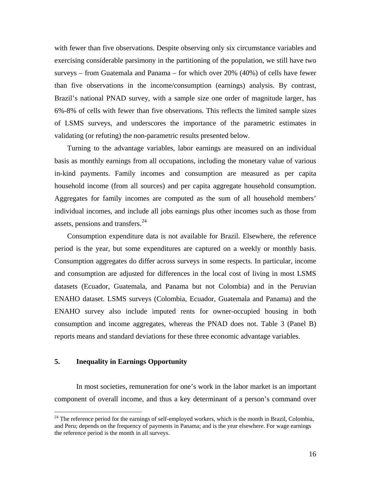<span id="page-17-0"></span>with fewer than five observations. Despite observing only six circumstance variables and exercising considerable parsimony in the partitioning of the population, we still have two surveys – from Guatemala and Panama – for which over 20% (40%) of cells have fewer than five observations in the income/consumption (earnings) analysis. By contrast, Brazil's national PNAD survey, with a sample size one order of magnitude larger, has 6%-8% of cells with fewer than five observations. This reflects the limited sample sizes of LSMS surveys, and underscores the importance of the parametric estimates in validating (or refuting) the non-parametric results presented below.

Turning to the advantage variables, labor earnings are measured on an individual basis as monthly earnings from all occupations, including the monetary value of various in-kind payments. Family incomes and consumption are measured as per capita household income (from all sources) and per capita aggregate household consumption. Aggregates for family incomes are computed as the sum of all household members' individual incomes, and include all jobs earnings plus other incomes such as those from assets, pensions and transfers.<sup>[24](#page-17-0)</sup>

Consumption expenditure data is not available for Brazil. Elsewhere, the reference period is the year, but some expenditures are captured on a weekly or monthly basis. Consumption aggregates do differ across surveys in some respects. In particular, income and consumption are adjusted for differences in the local cost of living in most LSMS datasets (Ecuador, Guatemala, and Panama but not Colombia) and in the Peruvian ENAHO dataset. LSMS surveys (Colombia, Ecuador, Guatemala and Panama) and the ENAHO survey also include imputed rents for owner-occupied housing in both consumption and income aggregates, whereas the PNAD does not. Table 3 (Panel B) reports means and standard deviations for these three economic advantage variables.

#### **5. Inequality in Earnings Opportunity**

 $\overline{a}$ 

 In most societies, remuneration for one's work in the labor market is an important component of overall income, and thus a key determinant of a person's command over

 $24$  The reference period for the earnings of self-employed workers, which is the month in Brazil, Colombia, and Peru; depends on the frequency of payments in Panama; and is the year elsewhere. For wage earnings the reference period is the month in all surveys.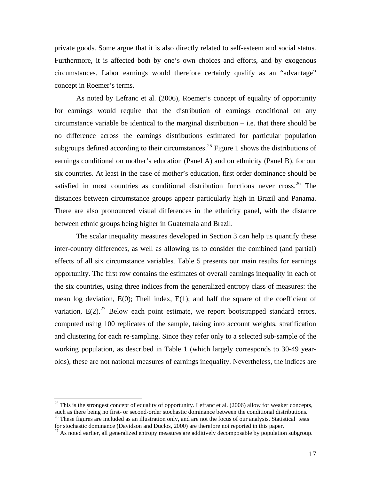<span id="page-18-0"></span>private goods. Some argue that it is also directly related to self-esteem and social status. Furthermore, it is affected both by one's own choices and efforts, and by exogenous circumstances. Labor earnings would therefore certainly qualify as an "advantage" concept in Roemer's terms.

 As noted by Lefranc et al. (2006), Roemer's concept of equality of opportunity for earnings would require that the distribution of earnings conditional on any circumstance variable be identical to the marginal distribution – i.e. that there should be no difference across the earnings distributions estimated for particular population subgroups defined according to their circumstances.<sup>[25](#page-18-0)</sup> Figure 1 shows the distributions of earnings conditional on mother's education (Panel A) and on ethnicity (Panel B), for our six countries. At least in the case of mother's education, first order dominance should be satisfied in most countries as conditional distribution functions never cross.<sup>[26](#page-18-0)</sup> The distances between circumstance groups appear particularly high in Brazil and Panama. There are also pronounced visual differences in the ethnicity panel, with the distance between ethnic groups being higher in Guatemala and Brazil.

The scalar inequality measures developed in Section 3 can help us quantify these inter-country differences, as well as allowing us to consider the combined (and partial) effects of all six circumstance variables. Table 5 presents our main results for earnings opportunity. The first row contains the estimates of overall earnings inequality in each of the six countries, using three indices from the generalized entropy class of measures: the mean log deviation,  $E(0)$ ; Theil index,  $E(1)$ ; and half the square of the coefficient of variation,  $E(2)$ <sup>[27](#page-18-0)</sup> Below each point estimate, we report bootstrapped standard errors, computed using 100 replicates of the sample, taking into account weights, stratification and clustering for each re-sampling. Since they refer only to a selected sub-sample of the working population, as described in Table 1 (which largely corresponds to 30-49 yearolds), these are not national measures of earnings inequality. Nevertheless, the indices are

1

 $25$  This is the strongest concept of equality of opportunity. Lefranc et al. (2006) allow for weaker concepts, such as there being no first- or second-order stochastic dominance between the conditional distributions.

 $26$  These figures are included as an illustration only, and are not the focus of our analysis. Statistical tests for stochastic dominance (Davidson and Duclos, 2000) are therefore not reported in this paper.

 $^{27}$  As noted earlier, all generalized entropy measures are additively decomposable by population subgroup.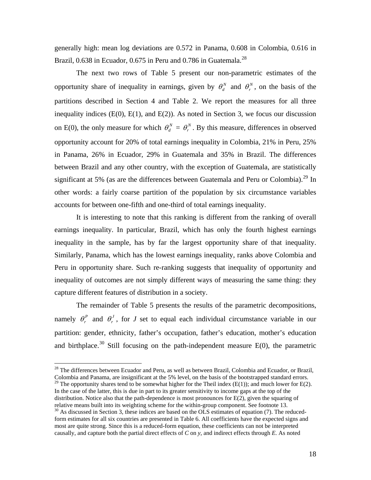<span id="page-19-0"></span>generally high: mean log deviations are 0.572 in Panama, 0.608 in Colombia, 0.616 in Brazil, 0.638 in Ecuador, 0.675 in Peru and 0.786 in Guatemala.<sup>[28](#page-19-0)</sup>

 The next two rows of Table 5 present our non-parametric estimates of the opportunity share of inequality in earnings, given by  $\theta_d^N$  and  $\theta_r^N$ , on the basis of the partitions described in Section 4 and Table 2. We report the measures for all three inequality indices  $(E(0), E(1),$  and  $E(2))$ . As noted in Section 3, we focus our discussion on E(0), the only measure for which  $\theta_d^N = \theta_r^N$ . By this measure, differences in observed opportunity account for 20% of total earnings inequality in Colombia, 21% in Peru, 25% in Panama, 26% in Ecuador, 29% in Guatemala and 35% in Brazil. The differences between Brazil and any other country, with the exception of Guatemala, are statistically significant at 5% (as are the differences between Guatemala and Peru or Colombia).<sup>29</sup> In other words: a fairly coarse partition of the population by six circumstance variables accounts for between one-fifth and one-third of total earnings inequality.

It is interesting to note that this ranking is different from the ranking of overall earnings inequality. In particular, Brazil, which has only the fourth highest earnings inequality in the sample, has by far the largest opportunity share of that inequality. Similarly, Panama, which has the lowest earnings inequality, ranks above Colombia and Peru in opportunity share. Such re-ranking suggests that inequality of opportunity and inequality of outcomes are not simply different ways of measuring the same thing: they capture different features of distribution in a society.

The remainder of Table 5 presents the results of the parametric decompositions, namely  $\theta_r^p$  and  $\theta_r^j$ , for *J* set to equal each individual circumstance variable in our partition: gender, ethnicity, father's occupation, father's education, mother's education and birthplace.<sup>[30](#page-19-0)</sup> Still focusing on the path-independent measure  $E(0)$ , the parametric

 $^{28}$  The differences between Ecuador and Peru, as well as between Brazil, Colombia and Ecuador, or Brazil, Colombia and Panama, are insignificant at the 5% level, on the basis of the bootstrapped standard errors.

<sup>&</sup>lt;sup>29</sup> The opportunity shares tend to be somewhat higher for the Theil index (E(1)); and much lower for E(2). In the case of the latter, this is due in part to its greater sensitivity to income gaps at the top of the distribution. Notice also that the path-dependence is most pronounces for E(2), given the squaring of relative means built into its weighting scheme for the within-group component. See footnote 13.

 $30$  As discussed in Section 3, these indices are based on the OLS estimates of equation (7). The reducedform estimates for all six countries are presented in Table 6. All coefficients have the expected signs and most are quite strong. Since this is a reduced-form equation, these coefficients can not be interpreted causally, and capture both the partial direct effects of *C* on *y*, and indirect effects through *E.* As noted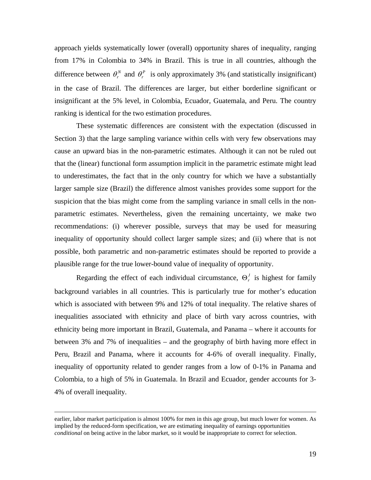approach yields systematically lower (overall) opportunity shares of inequality, ranging from 17% in Colombia to 34% in Brazil. This is true in all countries, although the difference between  $\theta_r^N$  and  $\theta_r^P$  is only approximately 3% (and statistically insignificant) in the case of Brazil. The differences are larger, but either borderline significant or insignificant at the 5% level, in Colombia, Ecuador, Guatemala, and Peru. The country ranking is identical for the two estimation procedures.

These systematic differences are consistent with the expectation (discussed in Section 3) that the large sampling variance within cells with very few observations may cause an upward bias in the non-parametric estimates. Although it can not be ruled out that the (linear) functional form assumption implicit in the parametric estimate might lead to underestimates, the fact that in the only country for which we have a substantially larger sample size (Brazil) the difference almost vanishes provides some support for the suspicion that the bias might come from the sampling variance in small cells in the nonparametric estimates. Nevertheless, given the remaining uncertainty, we make two recommendations: (i) wherever possible, surveys that may be used for measuring inequality of opportunity should collect larger sample sizes; and (ii) where that is not possible, both parametric and non-parametric estimates should be reported to provide a plausible range for the true lower-bound value of inequality of opportunity.

Regarding the effect of each individual circumstance,  $\Theta'$  is highest for family background variables in all countries. This is particularly true for mother's education which is associated with between 9% and 12% of total inequality. The relative shares of inequalities associated with ethnicity and place of birth vary across countries, with ethnicity being more important in Brazil, Guatemala, and Panama – where it accounts for between 3% and 7% of inequalities – and the geography of birth having more effect in Peru, Brazil and Panama, where it accounts for 4-6% of overall inequality. Finally, inequality of opportunity related to gender ranges from a low of 0-1% in Panama and Colombia, to a high of 5% in Guatemala. In Brazil and Ecuador, gender accounts for 3- 4% of overall inequality.

earlier, labor market participation is almost 100% for men in this age group, but much lower for women. As implied by the reduced-form specification, we are estimating inequality of earnings opportunities *conditional* on being active in the labor market, so it would be inappropriate to correct for selection.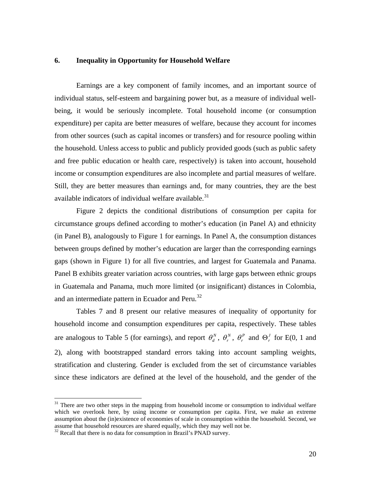### <span id="page-21-0"></span>**6. Inequality in Opportunity for Household Welfare**

Earnings are a key component of family incomes, and an important source of individual status, self-esteem and bargaining power but, as a measure of individual wellbeing, it would be seriously incomplete. Total household income (or consumption expenditure) per capita are better measures of welfare, because they account for incomes from other sources (such as capital incomes or transfers) and for resource pooling within the household. Unless access to public and publicly provided goods (such as public safety and free public education or health care, respectively) is taken into account, household income or consumption expenditures are also incomplete and partial measures of welfare. Still, they are better measures than earnings and, for many countries, they are the best available indicators of individual welfare available.<sup>[31](#page-21-0)</sup>

Figure 2 depicts the conditional distributions of consumption per capita for circumstance groups defined according to mother's education (in Panel A) and ethnicity (in Panel B), analogously to Figure 1 for earnings. In Panel A, the consumption distances between groups defined by mother's education are larger than the corresponding earnings gaps (shown in Figure 1) for all five countries, and largest for Guatemala and Panama. Panel B exhibits greater variation across countries, with large gaps between ethnic groups in Guatemala and Panama, much more limited (or insignificant) distances in Colombia, and an intermediate pattern in Ecuador and Peru.<sup>[32](#page-21-0)</sup>

Tables 7 and 8 present our relative measures of inequality of opportunity for household income and consumption expenditures per capita, respectively. These tables are analogous to Table 5 (for earnings), and report  $\theta_a^N$ ,  $\theta_r^N$ ,  $\theta_r^P$  and  $\Theta_r^J$  for E(0, 1 and 2), along with bootstrapped standard errors taking into account sampling weights, stratification and clustering. Gender is excluded from the set of circumstance variables since these indicators are defined at the level of the household, and the gender of the

 $31$  There are two other steps in the mapping from household income or consumption to individual welfare which we overlook here, by using income or consumption per capita. First, we make an extreme assumption about the (in)existence of economies of scale in consumption within the household. Second, we assume that household resources are shared equally, which they may well not be.

 $32$  Recall that there is no data for consumption in Brazil's PNAD survey.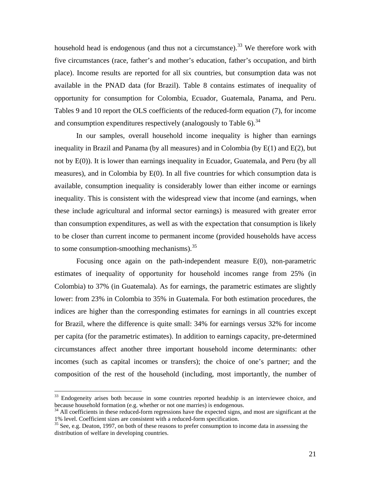<span id="page-22-0"></span>household head is endogenous (and thus not a circumstance).<sup>[33](#page-22-0)</sup> We therefore work with five circumstances (race, father's and mother's education, father's occupation, and birth place). Income results are reported for all six countries, but consumption data was not available in the PNAD data (for Brazil). Table 8 contains estimates of inequality of opportunity for consumption for Colombia, Ecuador, Guatemala, Panama, and Peru. Tables 9 and 10 report the OLS coefficients of the reduced-form equation (7), for income and consumption expenditures respectively (analogously to Table 6).<sup>[34](#page-22-0)</sup>

In our samples, overall household income inequality is higher than earnings inequality in Brazil and Panama (by all measures) and in Colombia (by  $E(1)$  and  $E(2)$ , but not by E(0)). It is lower than earnings inequality in Ecuador, Guatemala, and Peru (by all measures), and in Colombia by E(0). In all five countries for which consumption data is available, consumption inequality is considerably lower than either income or earnings inequality. This is consistent with the widespread view that income (and earnings, when these include agricultural and informal sector earnings) is measured with greater error than consumption expenditures, as well as with the expectation that consumption is likely to be closer than current income to permanent income (provided households have access to some consumption-smoothing mechanisms).  $35$ 

Focusing once again on the path-independent measure  $E(0)$ , non-parametric estimates of inequality of opportunity for household incomes range from 25% (in Colombia) to 37% (in Guatemala). As for earnings, the parametric estimates are slightly lower: from 23% in Colombia to 35% in Guatemala. For both estimation procedures, the indices are higher than the corresponding estimates for earnings in all countries except for Brazil, where the difference is quite small: 34% for earnings versus 32% for income per capita (for the parametric estimates). In addition to earnings capacity, pre-determined circumstances affect another three important household income determinants: other incomes (such as capital incomes or transfers); the choice of one's partner; and the composition of the rest of the household (including, most importantly, the number of

 $33$  Endogeneity arises both because in some countries reported headship is an interviewee choice, and because household formation (e.g. whether or not one marries) is endogenous.

 $34$  All coefficients in these reduced-form regressions have the expected signs, and most are significant at the 1% level. Coefficient sizes are consistent with a reduced-form specification.

 $35$  See, e.g. Deaton, 1997, on both of these reasons to prefer consumption to income data in assessing the distribution of welfare in developing countries.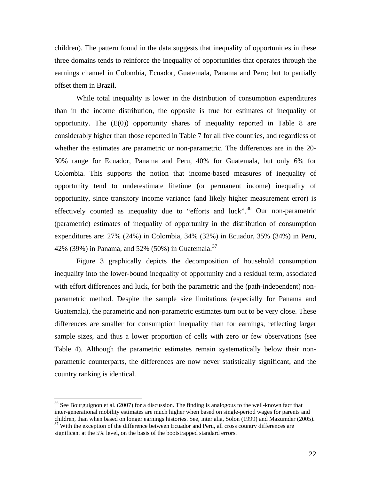<span id="page-23-0"></span>children). The pattern found in the data suggests that inequality of opportunities in these three domains tends to reinforce the inequality of opportunities that operates through the earnings channel in Colombia, Ecuador, Guatemala, Panama and Peru; but to partially offset them in Brazil.

 While total inequality is lower in the distribution of consumption expenditures than in the income distribution, the opposite is true for estimates of inequality of opportunity. The  $(E(0))$  opportunity shares of inequality reported in Table 8 are considerably higher than those reported in Table 7 for all five countries, and regardless of whether the estimates are parametric or non-parametric. The differences are in the 20- 30% range for Ecuador, Panama and Peru, 40% for Guatemala, but only 6% for Colombia. This supports the notion that income-based measures of inequality of opportunity tend to underestimate lifetime (or permanent income) inequality of opportunity, since transitory income variance (and likely higher measurement error) is effectively counted as inequality due to "efforts and luck".<sup>[36](#page-23-0)</sup> Our non-parametric (parametric) estimates of inequality of opportunity in the distribution of consumption expenditures are: 27% (24%) in Colombia, 34% (32%) in Ecuador, 35% (34%) in Peru, 42% (39%) in Panama, and 52% (50%) in Guatemala.<sup>[37](#page-23-0)</sup>

Figure 3 graphically depicts the decomposition of household consumption inequality into the lower-bound inequality of opportunity and a residual term, associated with effort differences and luck, for both the parametric and the (path-independent) nonparametric method. Despite the sample size limitations (especially for Panama and Guatemala), the parametric and non-parametric estimates turn out to be very close. These differences are smaller for consumption inequality than for earnings, reflecting larger sample sizes, and thus a lower proportion of cells with zero or few observations (see Table 4). Although the parametric estimates remain systematically below their nonparametric counterparts, the differences are now never statistically significant, and the country ranking is identical.

1

<sup>&</sup>lt;sup>36</sup> See Bourguignon et al. (2007) for a discussion. The finding is analogous to the well-known fact that inter-generational mobility estimates are much higher when based on single-period wages for parents and children, than when based on longer earnings histories. See, inter alia, Solon (1999) and Mazumder (2005).<br><sup>37</sup> With the exception of the difference between Ecuador and Peru, all cross country differences are

significant at the 5% level, on the basis of the bootstrapped standard errors.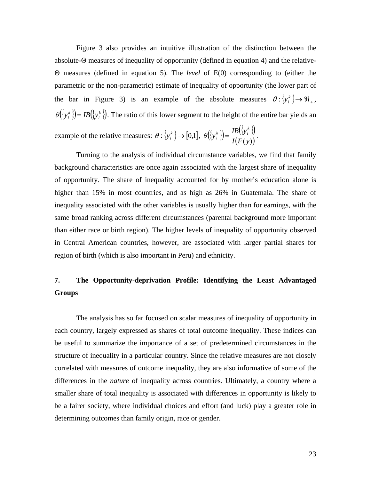Figure 3 also provides an intuitive illustration of the distinction between the absolute-Θ measures of inequality of opportunity (defined in equation 4) and the relative-Θ measures (defined in equation 5). The *level* of E(0) corresponding to (either the parametric or the non-parametric) estimate of inequality of opportunity (the lower part of the bar in Figure 3) is an example of the absolute measures  $\theta: \{y_i^k\} \to \Re_+$ ,  $({\mathcal{Y}}_i^k)$ = IB $({\mathcal{Y}}_i^k)$  $h(\{y_i^k\}) = IB(\{y_i^k\})$ . The ratio of this lower segment to the height of the entire bar yields an

example of the relative measures:  $\theta: \{y_i^k\} \to [0,1], \ \theta(\{y_i^k\}) = \frac{IB(\{y_i^k\})}{I(F(y))}$  $y_i^k$   $\left\{\right\} = \frac{IB(\left\{y\right\})}{I(\left\{x_i\right\})}$  $\theta\left(\left\{\mathbf{y}_i^k\right\}\right) = \frac{IB\left(\left\{\mathbf{y}_i^k\right\}\right)}{I\left(\mathbf{F}(\cdot)\right)}.$ 

Turning to the analysis of individual circumstance variables, we find that family background characteristics are once again associated with the largest share of inequality of opportunity. The share of inequality accounted for by mother's education alone is higher than 15% in most countries, and as high as 26% in Guatemala. The share of inequality associated with the other variables is usually higher than for earnings, with the same broad ranking across different circumstances (parental background more important than either race or birth region). The higher levels of inequality of opportunity observed in Central American countries, however, are associated with larger partial shares for region of birth (which is also important in Peru) and ethnicity.

# **7. The Opportunity-deprivation Profile: Identifying the Least Advantaged Groups**

The analysis has so far focused on scalar measures of inequality of opportunity in each country, largely expressed as shares of total outcome inequality. These indices can be useful to summarize the importance of a set of predetermined circumstances in the structure of inequality in a particular country. Since the relative measures are not closely correlated with measures of outcome inequality, they are also informative of some of the differences in the *nature* of inequality across countries. Ultimately, a country where a smaller share of total inequality is associated with differences in opportunity is likely to be a fairer society, where individual choices and effort (and luck) play a greater role in determining outcomes than family origin, race or gender.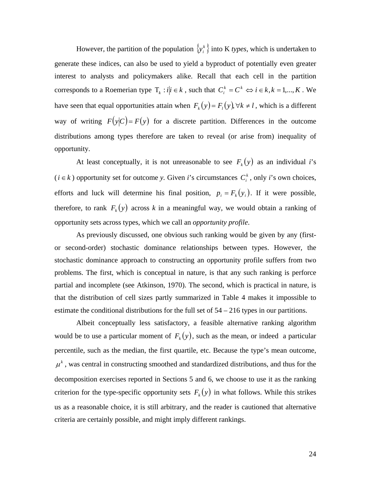However, the partition of the population  $\{y_i^k\}$  into K *types*, which is undertaken to generate these indices, can also be used to yield a byproduct of potentially even greater interest to analysts and policymakers alike. Recall that each cell in the partition corresponds to a Roemerian type  $T_k$ :  $i|i \in k$ , such that  $C_i^k = C^k \Leftrightarrow i \in k, k = 1,..., K$ . We have seen that equal opportunities attain when  $F_k(y) = F_l(y)$ ,  $\forall k \neq l$ , which is a different way of writing  $F(y|C) = F(y)$  for a discrete partition. Differences in the outcome distributions among types therefore are taken to reveal (or arise from) inequality of opportunity.

At least conceptually, it is not unreasonable to see  $F_k(y)$  as an individual *i*'s  $(i \in k)$  opportunity set for outcome *y*. Given *i*'s circumstances  $C_i^k$ , only *i*'s own choices, efforts and luck will determine his final position,  $p_i = F_k(y_i)$ . If it were possible, therefore, to rank  $F_k(y)$  across *k* in a meaningful way, we would obtain a ranking of opportunity sets across types, which we call an *opportunity profile*.

As previously discussed, one obvious such ranking would be given by any (firstor second-order) stochastic dominance relationships between types. However, the stochastic dominance approach to constructing an opportunity profile suffers from two problems. The first, which is conceptual in nature, is that any such ranking is perforce partial and incomplete (see Atkinson, 1970). The second, which is practical in nature, is that the distribution of cell sizes partly summarized in Table 4 makes it impossible to estimate the conditional distributions for the full set of 54 – 216 types in our partitions.

Albeit conceptually less satisfactory, a feasible alternative ranking algorithm would be to use a particular moment of  $F_k(y)$ , such as the mean, or indeed a particular percentile, such as the median, the first quartile, etc. Because the type's mean outcome,  $\mu^k$ , was central in constructing smoothed and standardized distributions, and thus for the decomposition exercises reported in Sections 5 and 6, we choose to use it as the ranking criterion for the type-specific opportunity sets  $F_k(y)$  in what follows. While this strikes us as a reasonable choice, it is still arbitrary, and the reader is cautioned that alternative criteria are certainly possible, and might imply different rankings.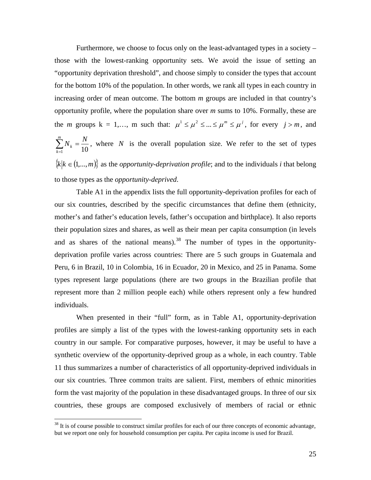<span id="page-26-0"></span>Furthermore, we choose to focus only on the least-advantaged types in a society – those with the lowest-ranking opportunity sets. We avoid the issue of setting an "opportunity deprivation threshold", and choose simply to consider the types that account for the bottom 10% of the population. In other words, we rank all types in each country in increasing order of mean outcome. The bottom *m* groups are included in that country's opportunity profile, where the population share over *m* sums to 10%. Formally, these are the *m* groups  $k = 1,..., m$  such that:  $\mu^1 \le \mu^2 \le ... \le \mu^m \le \mu^j$ , for every  $j > m$ , and  $10^{1/k}$  10  $\sum_{k=1}^{m} N_k = \frac{N}{100}$  $\sum_{k=1}^{N} N_k = \frac{N}{10}$ , where *N* is the overall population size. We refer to the set of types  ${k \mid k \in (1,...,m)}$  as the *opportunity-deprivation profile*; and to the individuals *i* that belong to those types as the *opportunity-deprived*.

Table A1 in the appendix lists the full opportunity-deprivation profiles for each of our six countries, described by the specific circumstances that define them (ethnicity, mother's and father's education levels, father's occupation and birthplace). It also reports their population sizes and shares, as well as their mean per capita consumption (in levels and as shares of the national means).<sup>38</sup> The number of types in the opportunitydeprivation profile varies across countries: There are 5 such groups in Guatemala and Peru, 6 in Brazil, 10 in Colombia, 16 in Ecuador, 20 in Mexico, and 25 in Panama. Some types represent large populations (there are two groups in the Brazilian profile that represent more than 2 million people each) while others represent only a few hundred individuals.

When presented in their "full" form, as in Table A1, opportunity-deprivation profiles are simply a list of the types with the lowest-ranking opportunity sets in each country in our sample. For comparative purposes, however, it may be useful to have a synthetic overview of the opportunity-deprived group as a whole, in each country. Table 11 thus summarizes a number of characteristics of all opportunity-deprived individuals in our six countries. Three common traits are salient. First, members of ethnic minorities form the vast majority of the population in these disadvantaged groups. In three of our six countries, these groups are composed exclusively of members of racial or ethnic

1

 $38$  It is of course possible to construct similar profiles for each of our three concepts of economic advantage, but we report one only for household consumption per capita. Per capita income is used for Brazil.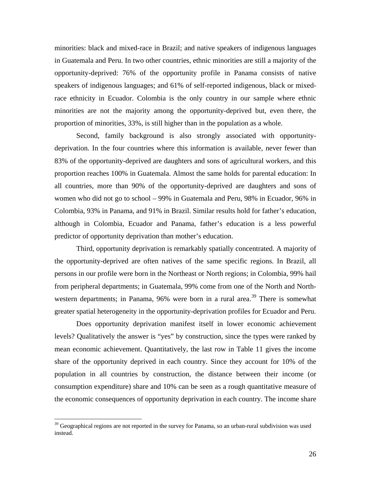<span id="page-27-0"></span>minorities: black and mixed-race in Brazil; and native speakers of indigenous languages in Guatemala and Peru. In two other countries, ethnic minorities are still a majority of the opportunity-deprived: 76% of the opportunity profile in Panama consists of native speakers of indigenous languages; and 61% of self-reported indigenous, black or mixedrace ethnicity in Ecuador. Colombia is the only country in our sample where ethnic minorities are not the majority among the opportunity-deprived but, even there, the proportion of minorities, 33%, is still higher than in the population as a whole.

Second, family background is also strongly associated with opportunitydeprivation. In the four countries where this information is available, never fewer than 83% of the opportunity-deprived are daughters and sons of agricultural workers, and this proportion reaches 100% in Guatemala. Almost the same holds for parental education: In all countries, more than 90% of the opportunity-deprived are daughters and sons of women who did not go to school – 99% in Guatemala and Peru, 98% in Ecuador, 96% in Colombia, 93% in Panama, and 91% in Brazil. Similar results hold for father's education, although in Colombia, Ecuador and Panama, father's education is a less powerful predictor of opportunity deprivation than mother's education.

Third, opportunity deprivation is remarkably spatially concentrated. A majority of the opportunity-deprived are often natives of the same specific regions. In Brazil, all persons in our profile were born in the Northeast or North regions; in Colombia, 99% hail from peripheral departments; in Guatemala, 99% come from one of the North and North-western departments; in Panama, 96% were born in a rural area.<sup>[39](#page-27-0)</sup> There is somewhat greater spatial heterogeneity in the opportunity-deprivation profiles for Ecuador and Peru.

Does opportunity deprivation manifest itself in lower economic achievement levels? Qualitatively the answer is "yes" by construction, since the types were ranked by mean economic achievement. Quantitatively, the last row in Table 11 gives the income share of the opportunity deprived in each country. Since they account for 10% of the population in all countries by construction, the distance between their income (or consumption expenditure) share and 10% can be seen as a rough quantitative measure of the economic consequences of opportunity deprivation in each country. The income share

1

 $39$  Geographical regions are not reported in the survey for Panama, so an urban-rural subdivision was used instead.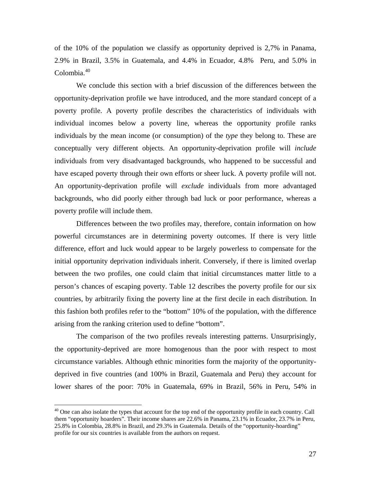<span id="page-28-0"></span>of the 10% of the population we classify as opportunity deprived is 2,7% in Panama, 2.9% in Brazil, 3.5% in Guatemala, and 4.4% in Ecuador, 4.8% Peru, and 5.0% in Colombia. $40$ 

We conclude this section with a brief discussion of the differences between the opportunity-deprivation profile we have introduced, and the more standard concept of a poverty profile. A poverty profile describes the characteristics of individuals with individual incomes below a poverty line, whereas the opportunity profile ranks individuals by the mean income (or consumption) of the *type* they belong to. These are conceptually very different objects. An opportunity-deprivation profile will *include* individuals from very disadvantaged backgrounds, who happened to be successful and have escaped poverty through their own efforts or sheer luck. A poverty profile will not. An opportunity-deprivation profile will *exclude* individuals from more advantaged backgrounds, who did poorly either through bad luck or poor performance, whereas a poverty profile will include them.

Differences between the two profiles may, therefore, contain information on how powerful circumstances are in determining poverty outcomes. If there is very little difference, effort and luck would appear to be largely powerless to compensate for the initial opportunity deprivation individuals inherit. Conversely, if there is limited overlap between the two profiles, one could claim that initial circumstances matter little to a person's chances of escaping poverty. Table 12 describes the poverty profile for our six countries, by arbitrarily fixing the poverty line at the first decile in each distribution. In this fashion both profiles refer to the "bottom" 10% of the population, with the difference arising from the ranking criterion used to define "bottom".

The comparison of the two profiles reveals interesting patterns. Unsurprisingly, the opportunity-deprived are more homogenous than the poor with respect to most circumstance variables. Although ethnic minorities form the majority of the opportunitydeprived in five countries (and 100% in Brazil, Guatemala and Peru) they account for lower shares of the poor: 70% in Guatemala, 69% in Brazil, 56% in Peru, 54% in

 $40$  One can also isolate the types that account for the top end of the opportunity profile in each country. Call them "opportunity hoarders". Their income shares are 22.6% in Panama, 23.1% in Ecuador, 23.7% in Peru, 25.8% in Colombia, 28.8% in Brazil, and 29.3% in Guatemala. Details of the "opportunity-hoarding" profile for our six countries is available from the authors on request.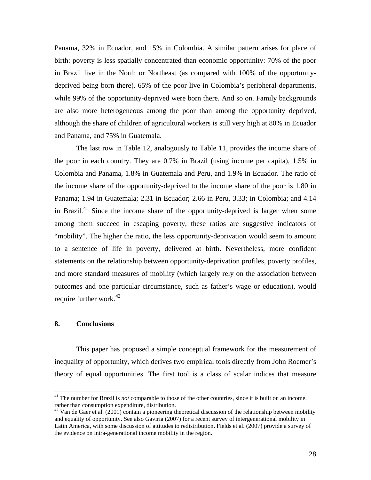<span id="page-29-0"></span>Panama, 32% in Ecuador, and 15% in Colombia. A similar pattern arises for place of birth: poverty is less spatially concentrated than economic opportunity: 70% of the poor in Brazil live in the North or Northeast (as compared with 100% of the opportunitydeprived being born there). 65% of the poor live in Colombia's peripheral departments, while 99% of the opportunity-deprived were born there. And so on. Family backgrounds are also more heterogeneous among the poor than among the opportunity deprived, although the share of children of agricultural workers is still very high at 80% in Ecuador and Panama, and 75% in Guatemala.

 The last row in Table 12, analogously to Table 11, provides the income share of the poor in each country. They are 0.7% in Brazil (using income per capita), 1.5% in Colombia and Panama, 1.8% in Guatemala and Peru, and 1.9% in Ecuador. The ratio of the income share of the opportunity-deprived to the income share of the poor is 1.80 in Panama; 1.94 in Guatemala; 2.31 in Ecuador; 2.66 in Peru, 3.33; in Colombia; and 4.14 in Brazil.<sup>41</sup> Since the income share of the opportunity-deprived is larger when some among them succeed in escaping poverty, these ratios are suggestive indicators of "mobility". The higher the ratio, the less opportunity-deprivation would seem to amount to a sentence of life in poverty, delivered at birth. Nevertheless, more confident statements on the relationship between opportunity-deprivation profiles, poverty profiles, and more standard measures of mobility (which largely rely on the association between outcomes and one particular circumstance, such as father's wage or education), would require further work.<sup>[42](#page-29-0)</sup>

#### **8. Conclusions**

1

This paper has proposed a simple conceptual framework for the measurement of inequality of opportunity, which derives two empirical tools directly from John Roemer's theory of equal opportunities. The first tool is a class of scalar indices that measure

<sup>&</sup>lt;sup>41</sup> The number for Brazil is *not* comparable to those of the other countries, since it is built on an income, rather than consumption expenditure, distribution.

 $42$  Van de Gaer et al. (2001) contain a pioneering theoretical discussion of the relationship between mobility and equality of opportunity. See also Gaviria (2007) for a recent survey of intergenerational mobility in Latin America, with some discussion of attitudes to redistribution. Fields et al. (2007) provide a survey of the evidence on intra-generational income mobility in the region.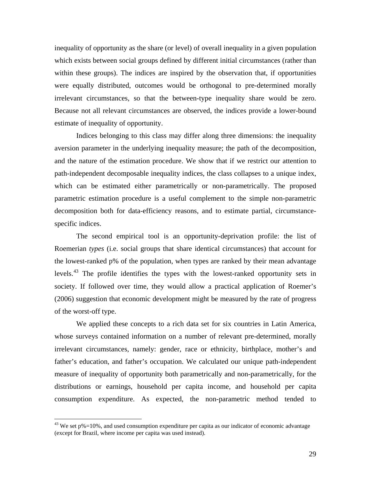<span id="page-30-0"></span>inequality of opportunity as the share (or level) of overall inequality in a given population which exists between social groups defined by different initial circumstances (rather than within these groups). The indices are inspired by the observation that, if opportunities were equally distributed, outcomes would be orthogonal to pre-determined morally irrelevant circumstances, so that the between-type inequality share would be zero. Because not all relevant circumstances are observed, the indices provide a lower-bound estimate of inequality of opportunity.

Indices belonging to this class may differ along three dimensions: the inequality aversion parameter in the underlying inequality measure; the path of the decomposition, and the nature of the estimation procedure. We show that if we restrict our attention to path-independent decomposable inequality indices, the class collapses to a unique index, which can be estimated either parametrically or non-parametrically. The proposed parametric estimation procedure is a useful complement to the simple non-parametric decomposition both for data-efficiency reasons, and to estimate partial, circumstancespecific indices.

The second empirical tool is an opportunity-deprivation profile: the list of Roemerian *types* (i.e. social groups that share identical circumstances) that account for the lowest-ranked p% of the population, when types are ranked by their mean advantage levels.<sup>43</sup> The profile identifies the types with the lowest-ranked opportunity sets in society. If followed over time, they would allow a practical application of Roemer's (2006) suggestion that economic development might be measured by the rate of progress of the worst-off type.

We applied these concepts to a rich data set for six countries in Latin America, whose surveys contained information on a number of relevant pre-determined, morally irrelevant circumstances, namely: gender, race or ethnicity, birthplace, mother's and father's education, and father's occupation. We calculated our unique path-independent measure of inequality of opportunity both parametrically and non-parametrically, for the distributions or earnings, household per capita income, and household per capita consumption expenditure. As expected, the non-parametric method tended to

 $43$  We set p%=10%, and used consumption expenditure per capita as our indicator of economic advantage (except for Brazil, where income per capita was used instead).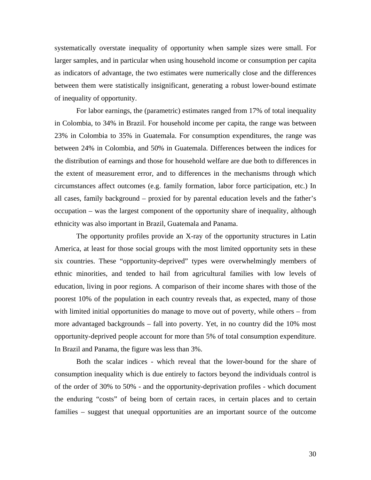systematically overstate inequality of opportunity when sample sizes were small. For larger samples, and in particular when using household income or consumption per capita as indicators of advantage, the two estimates were numerically close and the differences between them were statistically insignificant, generating a robust lower-bound estimate of inequality of opportunity.

For labor earnings, the (parametric) estimates ranged from 17% of total inequality in Colombia, to 34% in Brazil. For household income per capita, the range was between 23% in Colombia to 35% in Guatemala. For consumption expenditures, the range was between 24% in Colombia, and 50% in Guatemala. Differences between the indices for the distribution of earnings and those for household welfare are due both to differences in the extent of measurement error, and to differences in the mechanisms through which circumstances affect outcomes (e.g. family formation, labor force participation, etc.) In all cases, family background – proxied for by parental education levels and the father's occupation – was the largest component of the opportunity share of inequality, although ethnicity was also important in Brazil, Guatemala and Panama.

The opportunity profiles provide an X-ray of the opportunity structures in Latin America, at least for those social groups with the most limited opportunity sets in these six countries. These "opportunity-deprived" types were overwhelmingly members of ethnic minorities, and tended to hail from agricultural families with low levels of education, living in poor regions. A comparison of their income shares with those of the poorest 10% of the population in each country reveals that, as expected, many of those with limited initial opportunities do manage to move out of poverty, while others – from more advantaged backgrounds – fall into poverty. Yet, in no country did the 10% most opportunity-deprived people account for more than 5% of total consumption expenditure. In Brazil and Panama, the figure was less than 3%.

Both the scalar indices - which reveal that the lower-bound for the share of consumption inequality which is due entirely to factors beyond the individuals control is of the order of 30% to 50% - and the opportunity-deprivation profiles - which document the enduring "costs" of being born of certain races, in certain places and to certain families – suggest that unequal opportunities are an important source of the outcome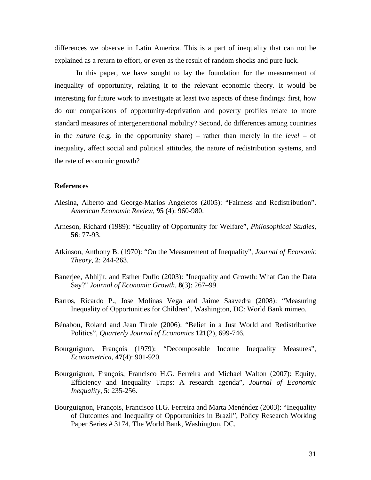differences we observe in Latin America. This is a part of inequality that can not be explained as a return to effort, or even as the result of random shocks and pure luck.

In this paper, we have sought to lay the foundation for the measurement of inequality of opportunity, relating it to the relevant economic theory. It would be interesting for future work to investigate at least two aspects of these findings: first, how do our comparisons of opportunity-deprivation and poverty profiles relate to more standard measures of intergenerational mobility? Second, do differences among countries in the *nature* (e.g. in the opportunity share) – rather than merely in the *level* – of inequality, affect social and political attitudes, the nature of redistribution systems, and the rate of economic growth?

#### **References**

- Alesina, Alberto and George-Marios Angeletos (2005): "Fairness and Redistribution". *American Economic Review,* **95** (4): 960-980.
- Arneson, Richard (1989): "Equality of Opportunity for Welfare", *Philosophical Studies*, **56**: 77-93.
- Atkinson, Anthony B. (1970): "On the Measurement of Inequality", *Journal of Economic Theory*, **2**: 244-263.
- Banerjee, Abhijit, and Esther Duflo (2003): "Inequality and Growth: What Can the Data Say?" *Journal of Economic Growth,* **8**(3): 267–99.
- Barros, Ricardo P., Jose Molinas Vega and Jaime Saavedra (2008): "Measuring Inequality of Opportunities for Children", Washington, DC: World Bank mimeo.
- Bénabou, Roland and Jean Tirole (2006): "Belief in a Just World and Redistributive Politics", *Quarterly Journal of Economics* **121**(2), 699-746.
- Bourguignon, François (1979): "Decomposable Income Inequality Measures", *Econometrica*, **47**(4): 901-920.
- Bourguignon, François, Francisco H.G. Ferreira and Michael Walton (2007): Equity, Efficiency and Inequality Traps: A research agenda", *Journal of Economic Inequality*, **5**: 235-256.
- Bourguignon, François, Francisco H.G. Ferreira and Marta Menéndez (2003): "Inequality of Outcomes and Inequality of Opportunities in Brazil", Policy Research Working Paper Series # 3174, The World Bank, Washington, DC.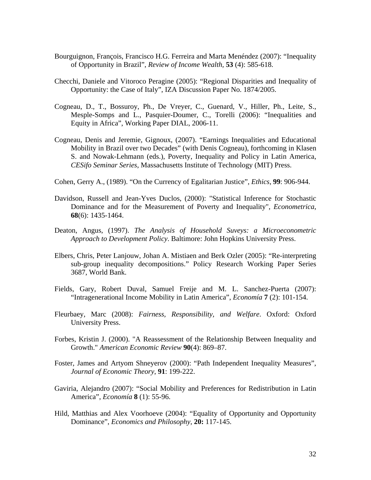- Bourguignon, François, Francisco H.G. Ferreira and Marta Menéndez (2007): "Inequality of Opportunity in Brazil", *Review of Income Wealth,* **53** (4): 585-618.
- Checchi, Daniele and Vitoroco Peragine (2005): "Regional Disparities and Inequality of Opportunity: the Case of Italy", IZA Discussion Paper No. 1874/2005.
- Cogneau, D., T., Bossuroy, Ph., De Vreyer, C., Guenard, V., Hiller, Ph., Leite, S., Mesple-Somps and L., Pasquier-Doumer, C., Torelli (2006): "Inequalities and Equity in Africa", Working Paper DIAL, 2006-11.
- Cogneau, Denis and Jeremie, Gignoux, (2007). "Earnings Inequalities and Educational Mobility in Brazil over two Decades" (with Denis Cogneau), forthcoming in Klasen S. and Nowak-Lehmann (eds.), Poverty, Inequality and Policy in Latin America, *CESifo Seminar Series*, Massachusetts Institute of Technology (MIT) Press.
- Cohen, Gerry A., (1989). "On the Currency of Egalitarian Justice", *Ethics*, **99**: 906-944.
- Davidson, Russell and Jean-Yves Duclos, (2000): ["Statistical Inference for Stochastic](http://ideas.repec.org/a/ecm/emetrp/v68y2000i6p1435-1464.html)  [Dominance and for the Measurement of Poverty and Inequality"](http://ideas.repec.org/a/ecm/emetrp/v68y2000i6p1435-1464.html), *[Econometrica](http://ideas.repec.org/s/ecm/emetrp.html)*, **68**(6): 1435-1464.
- Deaton, Angus, (1997). *The Analysis of Household Suveys: a Microeconometric Approach to Development Policy*. Baltimore: John Hopkins University Press.
- Elbers, Chris, Peter Lanjouw, Johan A. Mistiaen and Berk Ozler (2005): "[Re-interpreting](http://ideas.repec.org/p/wbk/wbrwps/3687.html)  [sub-group inequality decompositions.](http://ideas.repec.org/p/wbk/wbrwps/3687.html)" [Policy Research Working Paper Series](http://ideas.repec.org/s/wbk/wbrwps.html) 3687, World Bank.
- Fields, Gary, Robert Duval, Samuel Freije and M. L. Sanchez-Puerta (2007): "Intragenerational Income Mobility in Latin America", *Economía* **7** (2): 101-154.
- Fleurbaey, Marc (2008): *Fairness, Responsibility, and Welfare*. Oxford: Oxford University Press.
- Forbes, Kristin J. (2000). "A Reassessment of the Relationship Between Inequality and Growth." *American Economic Review* **90**(4): 869–87.
- Foster, James and Artyom Shneyerov (2000): "Path Independent Inequality Measures", *Journal of Economic Theory*, **91**: 199-222.
- Gaviria, Alejandro (2007): "Social Mobility and Preferences for Redistribution in Latin America", *Economía* **8** (1): 55-96.
- Hild, Matthias and Alex Voorhoeve (2004): "Equality of Opportunity and Opportunity Dominance", *Economics and Philosophy*, **20:** 117-145.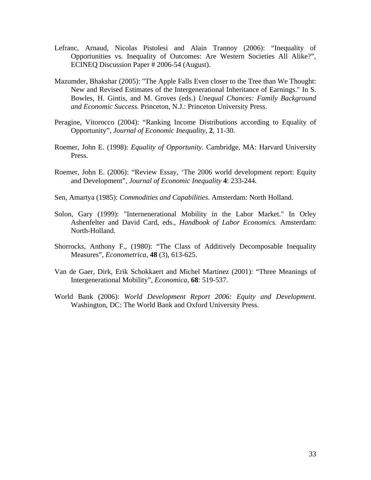- Lefranc, Arnaud, Nicolas Pistolesi and Alain Trannoy (2006): "Inequality of Opportunities vs. Inequality of Outcomes: Are Western Societies All Alike?", ECINEQ Discussion Paper # 2006-54 (August).
- Mazumder, Bhakshar (2005): "The Apple Falls Even closer to the Tree than We Thought: New and Revised Estimates of the Intergenerational Inheritance of Earnings." In S. Bowles, H. Gintis, and M. Groves (eds.) *Unequal Chances: Family Background and Economic Success.* Princeton, N.J.: Princeton University Press.
- Peragine, Vitorocco (2004): "Ranking Income Distributions according to Equality of Opportunity", *Journal of Economic Inequality*, **2**, 11-30.
- Roemer, John E. (1998): *Equality of Opportunity*. Cambridge, MA: Harvard University Press.
- Roemer, John E. (2006): "Review Essay, 'The 2006 world development report: Equity and Development", *Journal of Economic Inequality* **4**: 233-244.
- Sen, Amartya (1985): *Commodities and Capabilities*. Amsterdam: North Holland.
- Solon, Gary (1999): "Internenerational Mobility in the Labor Market." In Orley Ashenfelter and David Card, eds., *Handbook of Labor Economics.* Amsterdam: North-Holland.
- Shorrocks, Anthony F., (1980): "The Class of Additively Decomposable Inequality Measures", *Econometrica*, **48** (3), 613-625.
- Van de Gaer, Dirk, Erik Schokkaert and Michel Martinez (2001): "Three Meanings of Intergenerational Mobility", *Economica*, **68**: 519-537.
- World Bank (2006): *World Development Report 2006: Equity and Development*. Washington, DC: The World Bank and Oxford University Press.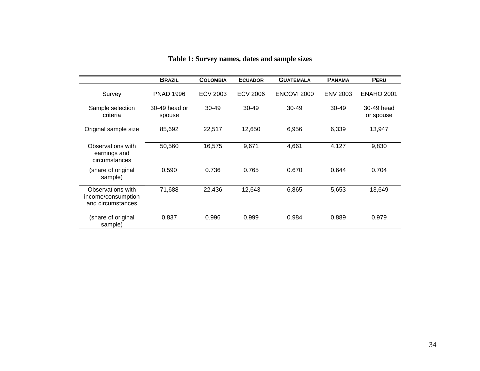|                                                              | <b>BRAZIL</b>           | <b>COLOMBIA</b> | <b>ECUADOR</b>  | <b>GUATEMALA</b> | <b>PANAMA</b>   | <b>PERU</b>             |
|--------------------------------------------------------------|-------------------------|-----------------|-----------------|------------------|-----------------|-------------------------|
| Survey                                                       | <b>PNAD 1996</b>        | ECV 2003        | <b>ECV 2006</b> | ENCOVI 2000      | <b>ENV 2003</b> | <b>ENAHO 2001</b>       |
| Sample selection<br>criteria                                 | 30-49 head or<br>spouse | $30 - 49$       | $30 - 49$       | $30 - 49$        | $30-49$         | 30-49 head<br>or spouse |
| Original sample size                                         | 85,692                  | 22,517          | 12,650          | 6,956            | 6,339           | 13,947                  |
| Observations with<br>earnings and<br>circumstances           | 50,560                  | 16,575          | 9,671           | 4,661            | 4,127           | 9,830                   |
| share of original)<br>sample)                                | 0.590                   | 0.736           | 0.765           | 0.670            | 0.644           | 0.704                   |
| Observations with<br>income/consumption<br>and circumstances | 71,688                  | 22,436          | 12,643          | 6,865            | 5,653           | 13,649                  |
| (share of original<br>sample)                                | 0.837                   | 0.996           | 0.999           | 0.984            | 0.889           | 0.979                   |

| Table 1: Survey names, dates and sample sizes |  |
|-----------------------------------------------|--|
|-----------------------------------------------|--|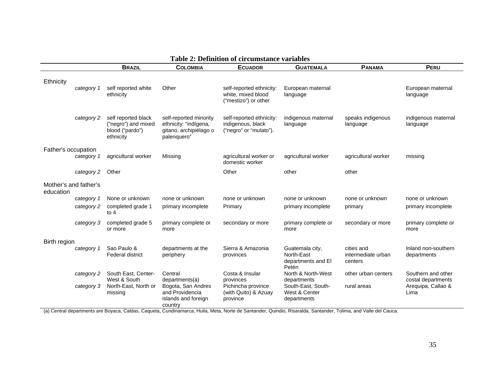|                     |                       | <b>BRAZIL</b>                                                                       | <b>COLOMBIA</b>                                                                          | <b>ECUADOR</b>                                                                                                                                              | <b>GUATEMALA</b>                                             | <b>PANAMA</b>                               | <b>PERU</b>                              |
|---------------------|-----------------------|-------------------------------------------------------------------------------------|------------------------------------------------------------------------------------------|-------------------------------------------------------------------------------------------------------------------------------------------------------------|--------------------------------------------------------------|---------------------------------------------|------------------------------------------|
| Ethnicity           |                       |                                                                                     |                                                                                          |                                                                                                                                                             |                                                              |                                             |                                          |
|                     | category 1            | self reported white<br>ethnicity                                                    | Other                                                                                    | self-reported ethnicity:<br>white, mixed blood<br>("mestizo") or other                                                                                      | European maternal<br>language                                |                                             | European maternal<br>language            |
|                     | category 2            | self reported black<br>("negro") and mixed<br>blood ("pardo")<br>ethnicity          | self-reported minority<br>ethnicity: "indígena,<br>gitano, archipiélago o<br>palenquero" | self-reported ethnicity:<br>indigenous, black<br>("negro" or "mulato").                                                                                     | indigenous maternal<br>language                              | speaks indigenous<br>language               | indigenous maternal<br>language          |
| Father's occupation | category 1            | agricultural worker                                                                 | Missing                                                                                  | agricultural worker or                                                                                                                                      | agricultural worker                                          | agricultural worker                         | missing                                  |
|                     |                       |                                                                                     |                                                                                          | domestic worker                                                                                                                                             |                                                              |                                             |                                          |
|                     | category 2            | Other                                                                               |                                                                                          | Other                                                                                                                                                       | other                                                        | other                                       |                                          |
| education           | Mother's and father's |                                                                                     |                                                                                          |                                                                                                                                                             |                                                              |                                             |                                          |
|                     | category 1            | None or unknown                                                                     | none or unknown                                                                          | none or unknown                                                                                                                                             | none or unknown                                              | none or unknown                             | none or unknown                          |
|                     | category 2            | completed grade 1<br>to $4$                                                         | primary incomplete                                                                       | Primary                                                                                                                                                     | primary incomplete                                           | primary                                     | primary incomplete                       |
|                     | category 3            | completed grade 5<br>or more                                                        | primary complete or<br>more                                                              | secondary or more                                                                                                                                           | primary complete or<br>more                                  | secondary or more                           | primary complete or<br>more              |
| Birth region        |                       |                                                                                     |                                                                                          |                                                                                                                                                             |                                                              |                                             |                                          |
|                     | category 1            | Sao Paulo &<br><b>Federal district</b>                                              | departments at the<br>periphery                                                          | Sierra & Amazonia<br>provinces                                                                                                                              | Guatemala city,<br>North-East<br>departments and El<br>Petén | cities and<br>intermediate urban<br>centers | Inland non-southern<br>departments       |
|                     | category 2            | South East, Center-<br>West & South                                                 | Central<br>departments(a)                                                                | Costa & Insular<br>provinces                                                                                                                                | North & North-West<br>departments                            | other urban centers                         | Southern and other<br>costal departments |
|                     | category 3            | North-East, North or<br>missing<br>Control departmente are Davase, Coldee, Coguieto | Bogota, San Andres<br>and Providencia<br>islands and foreign<br>country                  | Pichincha province<br>(with Quito) & Azuay<br>province<br>Cundingmarea Unila Mate Narte de Captander Quindie Diserptde Captander Telima and Velle del Cause | South-East, South-<br>West & Center<br>departments           | rural areas                                 | Arequipa, Callao &<br>Lima               |

#### **Table 2: Definition of circumstance variables**

(a) Central departments are Boyaca, Caldas, Caqueta, Cundinamarca, Huila, Meta, Norte de Santander, Quindio, Risaralda, Santander, Tolima, and Valle del Cauca.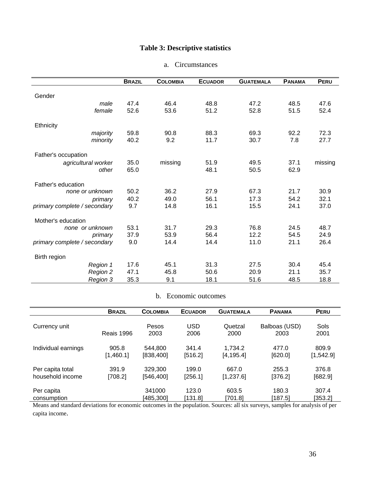# **Table 3: Descriptive statistics**

### a. Circumstances

|                              | <b>BRAZIL</b> | <b>COLOMBIA</b> | <b>ECUADOR</b> | <b>GUATEMALA</b> | <b>PANAMA</b> | PERU    |
|------------------------------|---------------|-----------------|----------------|------------------|---------------|---------|
|                              |               |                 |                |                  |               |         |
| Gender                       |               |                 |                |                  |               |         |
| male                         | 47.4          | 46.4            | 48.8           | 47.2             | 48.5          | 47.6    |
| female                       | 52.6          | 53.6            | 51.2           | 52.8             | 51.5          | 52.4    |
| Ethnicity                    |               |                 |                |                  |               |         |
| majority                     | 59.8          | 90.8            | 88.3           | 69.3             | 92.2          | 72.3    |
| minority                     | 40.2          | 9.2             | 11.7           | 30.7             | 7.8           | 27.7    |
| Father's occupation          |               |                 |                |                  |               |         |
| agricultural worker          | 35.0          | missing         | 51.9           | 49.5             | 37.1          | missing |
| other                        | 65.0          |                 | 48.1           | 50.5             | 62.9          |         |
|                              |               |                 |                |                  |               |         |
| Father's education           |               |                 |                |                  |               |         |
| none or unknown              | 50.2          | 36.2            | 27.9           | 67.3             | 21.7          | 30.9    |
| primary                      | 40.2          | 49.0            | 56.1           | 17.3             | 54.2          | 32.1    |
| primary complete / secondary | 9.7           | 14.8            | 16.1           | 15.5             | 24.1          | 37.0    |
| Mother's education           |               |                 |                |                  |               |         |
| none or unknown              | 53.1          | 31.7            | 29.3           | 76.8             | 24.5          | 48.7    |
| primary                      | 37.9          | 53.9            | 56.4           | 12.2             | 54.5          | 24.9    |
| primary complete / secondary | 9.0           | 14.4            | 14.4           | 11.0             | 21.1          | 26.4    |
|                              |               |                 |                |                  |               |         |
| Birth region                 |               |                 |                |                  |               |         |
| Region 1                     | 17.6          | 45.1            | 31.3           | 27.5             | 30.4          | 45.4    |
| Region 2                     | 47.1          | 45.8            | 50.6           | 20.9             | 21.1          | 35.7    |
| Region 3                     | 35.3          | 9.1             | 18.1           | 51.6             | 48.5          | 18.8    |

### b. Economic outcomes

|                     | <b>BRAZIL</b>     | <b>COLOMBIA</b> | <b>ECUADOR</b>     | <b>GUATEMALA</b> | <b>PANAMA</b>         | <b>PERU</b>  |
|---------------------|-------------------|-----------------|--------------------|------------------|-----------------------|--------------|
| Currency unit       | <b>Reais 1996</b> | Pesos<br>2003   | <b>USD</b><br>2006 | Quetzal<br>2000  | Balboas (USD)<br>2003 | Sols<br>2001 |
| Individual earnings | 905.8             | 544.800         | 341.4              | 1.734.2          | 477.0                 | 809.9        |
|                     | [1,460.1]         | [838,400]       | [516.2]            | [4, 195.4]       | [620.0]               | [1, 542.9]   |
| Per capita total    | 391.9             | 329,300         | 199.0              | 667.0            | 255.3                 | 376.8        |
| household income    | [708.2]           | [546, 400]      | [256.1]            | [1,237.6]        | [376.2]               | [682.9]      |
| Per capita          |                   | 341000          | 123.0              | 603.5            | 180.3                 | 307.4        |
| consumption         |                   | [485,300]       | [131.8]            | [701.8]          | [187.5]               | [353.2]      |

Means and standard deviations for economic outcomes in the population. Sources: all six surveys, samples for analysis of per capita income.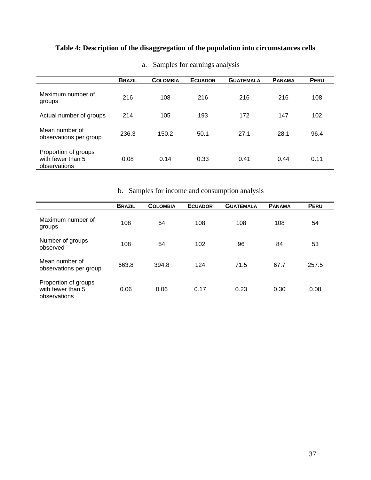# **Table 4: Description of the disaggregation of the population into circumstances cells**

|                                                           | <b>BRAZIL</b> | <b>COLOMBIA</b> | <b>ECUADOR</b> | <b>GUATEMALA</b> | <b>PANAMA</b> | PERU |
|-----------------------------------------------------------|---------------|-----------------|----------------|------------------|---------------|------|
| Maximum number of<br>groups                               | 216           | 108             | 216            | 216              | 216           | 108  |
| Actual number of groups                                   | 214           | 105             | 193            | 172              | 147           | 102  |
| Mean number of<br>observations per group                  | 236.3         | 150.2           | 50.1           | 27.1             | 28.1          | 96.4 |
| Proportion of groups<br>with fewer than 5<br>observations | 0.08          | 0.14            | 0.33           | 0.41             | 0.44          | 0.11 |

a. Samples for earnings analysis

b. Samples for income and consumption analysis

|                                                           | <b>BRAZIL</b> | <b>COLOMBIA</b> | <b>ECUADOR</b> | <b>GUATEMALA</b> | <b>PANAMA</b> | <b>PERU</b> |
|-----------------------------------------------------------|---------------|-----------------|----------------|------------------|---------------|-------------|
| Maximum number of<br>groups                               | 108           | 54              | 108            | 108              | 108           | 54          |
| Number of groups<br>observed                              | 108           | 54              | 102            | 96               | 84            | 53          |
| Mean number of<br>observations per group                  | 663.8         | 394.8           | 124            | 71.5             | 67.7          | 257.5       |
| Proportion of groups<br>with fewer than 5<br>observations | 0.06          | 0.06            | 0.17           | 0.23             | 0.30          | 0.08        |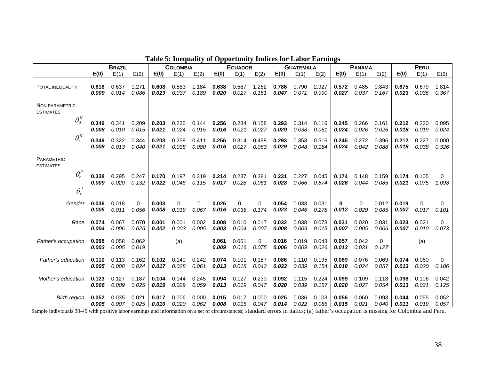| <b>BRAZIL</b>                         |                |                | <b>COLOMBIA</b> |       | <b>ECUADOR</b> |       | <b>GUATEMALA</b> |                | <b>PANAMA</b>     |                |                | PERU           |                |                |            |       |       |          |
|---------------------------------------|----------------|----------------|-----------------|-------|----------------|-------|------------------|----------------|-------------------|----------------|----------------|----------------|----------------|----------------|------------|-------|-------|----------|
|                                       | E(0)           | E(1)           | E(2)            | E(0)  | E(1)           | E(2)  | E(0)             | E(1)           | E(2)              | E(0)           | E(1)           | E(2)           | E(0)           | E(1)           | E(2)       | E(0)  | E(1)  | E(2)     |
| <b>TOTAL INEQUALITY</b>               | 0.616          | 0.637          | 1.271           | 0.608 | 0.583          | 1.184 | 0.638            | 0.587          | 1.262             | 0.786          | 0.790          | 2.927          | 0.572          | 0.485          | 0.843      | 0.675 | 0.679 | 1.814    |
|                                       | 0.009          | 0.014          | 0.086           | 0.023 | 0.037          | 0.189 | 0.020            | 0.027          | 0.151             | 0.047          | 0.071          | 0.990          | 0.027          | 0.037          | 0.167      | 0.023 | 0.036 | 0.367    |
| NON PARAMETRIC<br><b>ESTIMATES</b>    |                |                |                 |       |                |       |                  |                |                   |                |                |                |                |                |            |       |       |          |
| $\theta_d^N$                          | 0.349          | 0.341          | 0.209           | 0.203 | 0.235          | 0.144 | 0.256            | 0.284          | 0.158             | 0.293          | 0.314          | 0.116          | 0.245          | 0.266          | 0.161      | 0.212 | 0.220 | 0.095    |
|                                       | 0.008          | 0.010          | 0.015           | 0.021 | 0.024          | 0.015 | 0.016            | 0.021          | 0.027             | 0.029          | 0.038          | 0.081          | 0.024          | 0.026          | 0.026      | 0.018 | 0.019 | 0.024    |
| $\theta_{r}^{N}$                      | 0.349          | 0.322          | 0.344           | 0.203 | 0.258          | 0.411 | 0.256            | 0.314          | 0.498             | 0.293          | 0.353          | 0.516          | 0.245          | 0.272          | 0.396      | 0.212 | 0.227 | 0.000    |
|                                       | 0.008          | 0.013          | 0.040           | 0.021 | 0.038          | 0.080 | 0.016            | 0.027          | 0.063             | 0.029          | 0.048          | 0.184          | 0.024          | 0.042          | 0.088      | 0.018 | 0.038 | 0.326    |
| <b>PARAMETRIC</b><br><b>ESTIMATES</b> |                |                |                 |       |                |       |                  |                |                   |                |                |                |                |                |            |       |       |          |
| $\theta_r^P$                          | 0.338          | 0.295          | 0.247           | 0.170 | 0.197          | 0.319 | 0.214            | 0.237          | 0.381             | 0.231          | 0.227          | 0.045          | 0.174          | 0.148          | 0.159      | 0.174 | 0.105 | $\Omega$ |
|                                       | 0.009          | 0.020          | 0.132           | 0.022 | 0.046          | 0.115 | 0.017            | 0.028          | 0.061             | 0.028          | 0.066          | 0.674          | 0.026          | 0.044          | 0.085      | 0.021 | 0.075 | 1.098    |
| $\theta_r^J$                          |                |                |                 |       |                |       |                  |                |                   |                |                |                |                |                |            |       |       |          |
| Gender                                | 0.036          | 0.018          | $\Omega$        | 0.003 | $\Omega$       | 0     | 0.026            | $\Omega$       | $\Omega$          | 0.054          | 0.033          | 0.031          | 0              | $\Omega$       | 0.012      | 0.019 | 0     | 0        |
|                                       | 0.005          | 0.011          | 0.056           | 0.008 | 0.019          | 0.067 | 0.016            | 0.038          | 0.174             | 0.023          | 0.046          | 0.278          | 0.012          | 0.029          | 0.085      | 0.007 | 0.017 | 0.101    |
| Race                                  | 0.074          | 0.067          | 0.070           | 0.001 | 0.001          | 0.002 | 0.008            | 0.010          | 0.017             | 0.032          | 0.038          | 0.073          | 0.031          | 0.020          | 0.031      | 0.023 | 0.021 | $\Omega$ |
|                                       | 0.004          | 0.006          | 0.025           | 0.002 | 0.003          | 0.005 | 0.003            | 0.004          | 0.007             | 0.008          | 0.009          | 0.015          | 0.007          | 0.005          | 0.006      | 0.007 | 0.010 | 0.073    |
| Father's occupation                   | 0.068<br>0.003 | 0.058<br>0.005 | 0.062<br>0.019  |       | (a)            |       | 0.061<br>0.009   | 0.061<br>0.016 | $\Omega$<br>0.075 | 0.016<br>0.006 | 0.019<br>0.009 | 0.043<br>0.026 | 0.057<br>0.013 | 0.042<br>0.031 | 0<br>0.127 |       | (a)   |          |
| <b>Father's education</b>             | 0.110          | 0.113          | 0.162           | 0.102 | 0.140          | 0.242 | 0.074            | 0.101          | 0.187             | 0.086          | 0.110          | 0.195          | 0.069          | 0.076          | 0.069      | 0.074 | 0.060 | 0        |
|                                       | 0.005          | 0.008          | 0.024           | 0.017 | 0.028          | 0.061 | 0.013            | 0.018          | 0.043             | 0.022          | 0.039          | 0.154          | 0.018          | 0.024          | 0.057      | 0.013 | 0.020 | 0.106    |
| Mother's education                    | 0.123          | 0.127          | 0.187           | 0.104 | 0.144          | 0.245 | 0.094            | 0.127          | 0.230             | 0.092          | 0.115          | 0.224          | 0.099          | 0.109          | 0.118      | 0.098 | 0.106 | 0.042    |
|                                       | 0.006          | 0.009          | 0.025           | 0.019 | 0.029          | 0.059 | 0.013            | 0.019          | 0.047             | 0.020          | 0.039          | 0.157          | 0.020          | 0.027          | 0.054      | 0.013 | 0.021 | 0.125    |
| <b>Birth region</b>                   | 0.052          | 0.035          | 0.021           | 0.017 | 0.006          | 0.000 | 0.015            | 0.017          | 0.000             | 0.025          | 0.036          | 0.103          | 0.056          | 0.060          | 0.093      | 0.044 | 0.055 | 0.052    |
|                                       | 0.005          | 0.007          | 0.025           | 0.010 | 0.020          | 0.062 | 0.008            | 0.015          | 0.047             | 0.014          | 0.022          | 0.086          | 0.015          | 0.021          | 0.040      | 0.011 | 0.019 | 0.057    |

### **Table 5: Inequality of Opportunity Indices for Labor Earnings**

Sample individuals 30-49 with positive labor earnings and information on a set of circumstances; standard errors in italics; (a) father's occupation is missing for Colombia and Peru.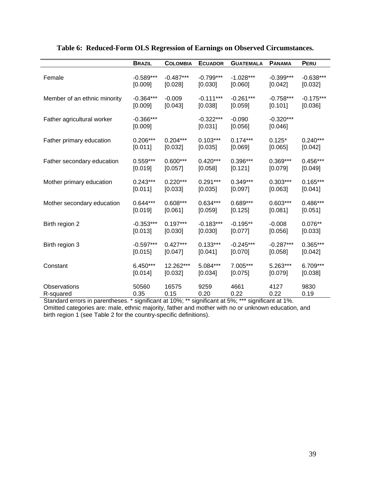|                              | <b>BRAZIL</b>          | <b>COLOMBIA</b> | <b>ECUADOR</b>         | <b>GUATEMALA</b>    | <b>PANAMA</b>          | PERU        |
|------------------------------|------------------------|-----------------|------------------------|---------------------|------------------------|-------------|
| Female                       | $-0.589***$            | $-0.487***$     | $-0.799***$            | $-1.028***$         | $-0.399***$            | $-0.638***$ |
|                              | [0.009]                | [0.028]         | [0.030]                | [0.060]             | [0.042]                | [0.032]     |
| Member of an ethnic minority | $-0.364***$            | $-0.009$        | $-0.111***$            | $-0.261***$         | $-0.758***$            | $-0.175***$ |
|                              | [0.009]                | [0.043]         | [0.038]                | [0.059]             | [0.101]                | [0.036]     |
| Father agricultural worker   | $-0.366***$<br>[0.009] |                 | $-0.322***$<br>[0.031] | $-0.090$<br>[0.056] | $-0.320***$<br>[0.046] |             |
| Father primary education     | $0.206***$             | $0.204***$      | $0.103***$             | $0.174***$          | $0.125*$               | $0.240***$  |
|                              | [0.011]                | [0.032]         | [0.035]                | [0.069]             | [0.065]                | [0.042]     |
| Father secondary education   | $0.559***$             | $0.600***$      | $0.420***$             | $0.396***$          | $0.369***$             | $0.456***$  |
|                              | [0.019]                | [0.057]         | [0.058]                | [0.121]             | [0.079]                | [0.049]     |
| Mother primary education     | $0.243***$             | $0.220***$      | $0.291***$             | $0.349***$          | $0.303***$             | $0.165***$  |
|                              | [0.011]                | [0.033]         | [0.035]                | [0.097]             | [0.063]                | [0.041]     |
| Mother secondary education   | $0.644***$             | $0.608***$      | $0.634***$             | $0.689***$          | $0.603***$             | $0.486***$  |
|                              | [0.019]                | [0.061]         | [0.059]                | [0.125]             | [0.081]                | [0.051]     |
| Birth region 2               | $-0.353***$            | $0.197***$      | $-0.183***$            | $-0.195**$          | $-0.008$               | $0.076**$   |
|                              | [0.013]                | [0.030]         | [0.030]                | [0.077]             | [0.056]                | [0.033]     |
| Birth region 3               | $-0.597***$            | $0.427***$      | $0.133***$             | $-0.245***$         | $-0.287***$            | $0.365***$  |
|                              | [0.015]                | [0.047]         | [0.041]                | [0.070]             | [0.058]                | [0.042]     |
| Constant                     | $6.450***$             | 12.262***       | 5.084***               | 7.005***            | 5.263***               | 6.709***    |
|                              | [0.014]                | [0.032]         | [0.034]                | [0.075]             | [0.079]                | [0.038]     |
| Observations                 | 50560                  | 16575           | 9259                   | 4661                | 4127                   | 9830        |
| R-squared                    | 0.35                   | 0.15            | 0.20                   | 0.22                | 0.22                   | 0.19        |

## **Table 6: Reduced-Form OLS Regression of Earnings on Observed Circumstances.**

Standard errors in parentheses. \* significant at 10%; \*\* significant at 5%; \*\*\* significant at 1%. Omitted categories are: male, ethnic majority, father and mother with no or unknown education, and birth region 1 (see Table 2 for the country-specific definitions).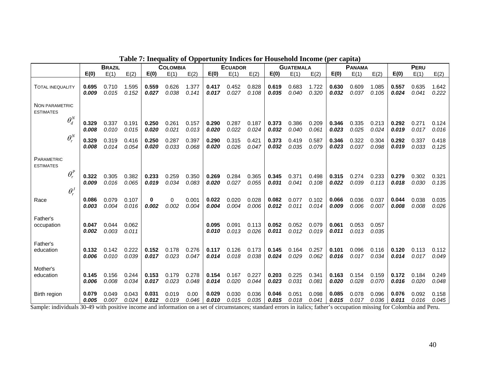|                                                                                 |                | <b>BRAZIL</b>  |                |                | <b>COLOMBIA</b>                        |                |                                                      | <b>ECUADOR</b> |                |                | <b>GUATEMALA</b> |                |                | <b>PANAMA</b>  |                |                                                                                             | PERU           |                |
|---------------------------------------------------------------------------------|----------------|----------------|----------------|----------------|----------------------------------------|----------------|------------------------------------------------------|----------------|----------------|----------------|------------------|----------------|----------------|----------------|----------------|---------------------------------------------------------------------------------------------|----------------|----------------|
|                                                                                 | E(0)           | E(1)           | E(2)           | E(0)           | E(1)                                   | E(2)           | E(0)                                                 | E(1)           | E(2)           | E(0)           | E(1)             | E(2)           | E(0)           | E(1)           | E(2)           | E(0)                                                                                        | E(1)           | E(2)           |
| <b>TOTAL INEQUALITY</b>                                                         | 0.695<br>0.009 | 0.710<br>0.015 | 1.595<br>0.152 | 0.559<br>0.027 | 0.626<br>0.038                         | 1.377<br>0.141 | 0.417<br>0.017                                       | 0.452<br>0.027 | 0.828<br>0.108 | 0.619<br>0.035 | 0.683<br>0.040   | 1.722<br>0.320 | 0.630<br>0.032 | 0.609<br>0.037 | 1.085<br>0.105 | 0.557<br>0.024                                                                              | 0.635<br>0.041 | 1.642<br>0.222 |
| <b>NON PARAMETRIC</b><br><b>ESTIMATES</b>                                       |                |                |                |                |                                        |                |                                                      |                |                |                |                  |                |                |                |                |                                                                                             |                |                |
| $\theta_d^N$                                                                    | 0.329<br>0.008 | 0.337<br>0.010 | 0.191<br>0.015 | 0.250<br>0.020 | 0.261<br>0.021                         | 0.157<br>0.013 | 0.290<br>0.020                                       | 0.287<br>0.022 | 0.187<br>0.024 | 0.373<br>0.032 | 0.386<br>0.040   | 0.209<br>0.061 | 0.346<br>0.023 | 0.335<br>0.025 | 0.213<br>0.024 | 0.292<br>0.019                                                                              | 0.271<br>0.017 | 0.124<br>0.016 |
| $\theta_{r}^{N}$                                                                | 0.329<br>0.008 | 0.319<br>0.014 | 0.416<br>0.054 | 0.250<br>0.020 | 0.287<br>0.033                         | 0.397<br>0.068 | 0.290<br>0.020                                       | 0.315<br>0.026 | 0.421<br>0.047 | 0.373<br>0.032 | 0.419<br>0.035   | 0.587<br>0.079 | 0.346<br>0.023 | 0.322<br>0.037 | 0.304<br>0.098 | 0.292<br>0.019                                                                              | 0.337<br>0.033 | 0.418<br>0.125 |
| PARAMETRIC<br><b>ESTIMATES</b>                                                  |                |                |                |                |                                        |                |                                                      |                |                |                |                  |                |                |                |                |                                                                                             |                |                |
| $\theta_r^P$                                                                    | 0.322<br>0.009 | 0.305<br>0.016 | 0.382<br>0.065 | 0.233<br>0.019 | 0.259<br>0.034                         | 0.350<br>0.083 | 0.269<br>0.020                                       | 0.284<br>0.027 | 0.365<br>0.055 | 0.345<br>0.031 | 0.371<br>0.041   | 0.498<br>0.108 | 0.315<br>0.022 | 0.274<br>0.039 | 0.233<br>0.113 | 0.279<br>0.018                                                                              | 0.302<br>0.030 | 0.321<br>0.135 |
| $\theta_r^J$<br>Race                                                            | 0.086          | 0.079          | 0.107          | 0              | 0                                      | 0.001          | 0.022                                                | 0.020          | 0.028          | 0.082          | 0.077            | 0.102          | 0.066          | 0.036          | 0.037          | 0.044                                                                                       | 0.038          | 0.035          |
| Father's                                                                        | 0.003          | 0.004          | 0.016          | 0.002          | 0.002                                  | 0.004          | 0.004                                                | 0.004          | 0.006          | 0.012          | 0.011            | 0.014          | 0.009          | 0.006          | 0.007          | 0.008                                                                                       | 0.008          | 0.026          |
| occupation                                                                      | 0.047<br>0.002 | 0.044<br>0.003 | 0.062<br>0.011 |                |                                        |                | 0.095<br>0.010                                       | 0.091<br>0.013 | 0.113<br>0.026 | 0.052<br>0.011 | 0.052<br>0.012   | 0.079<br>0.019 | 0.061<br>0.011 | 0.053<br>0.013 | 0.057<br>0.035 |                                                                                             |                |                |
| Father's<br>education                                                           | 0.132<br>0.006 | 0.142<br>0.010 | 0.222<br>0.039 | 0.152<br>0.017 | 0.178<br>0.023                         | 0.276<br>0.047 | 0.117<br>0.014                                       | 0.126<br>0.018 | 0.173<br>0.038 | 0.145<br>0.024 | 0.164<br>0.029   | 0.257<br>0.062 | 0.101<br>0.016 | 0.096<br>0.017 | 0.116<br>0.034 | 0.120<br>0.014                                                                              | 0.113<br>0.017 | 0.112<br>0.049 |
| Mother's<br>education                                                           | 0.145          | 0.156          | 0.244          | 0.153          | 0.179                                  | 0.278          | 0.154                                                | 0.167          | 0.227          | 0.203          | 0.225            | 0.341          | 0.163          | 0.154          | 0.159          | 0.172                                                                                       | 0.184          | 0.249          |
|                                                                                 | 0.006          | 0.008          | 0.034          | 0.017          | 0.023                                  | 0.048          | 0.014                                                | 0.020          | 0.044          | 0.023          | 0.031            | 0.081          | 0.020          | 0.028          | 0.070          | 0.016                                                                                       | 0.020          | 0.048          |
| Birth region<br>$0.0001 \times 10^{-1}$ $1.00001$ $10^{-1}$ $1.00001$ $10^{-1}$ | 0.079<br>0.005 | 0.049<br>0.007 | 0.043<br>0.024 | 0.031<br>0.012 | 0.019<br>0.019<br>and the Community of | 0.00<br>0.046  | 0.029<br>0.010<br>$\alpha$ and $\alpha$ and $\alpha$ | 0.030<br>0.015 | 0.036<br>0.035 | 0.046<br>0.015 | 0.051<br>0.018   | 0.098<br>0.041 | 0.085<br>0.015 | 0.078<br>0.017 | 0.096<br>0.036 | 0.076<br>0.011<br>$\ldots$ . $\ldots$ $\ldots$ $\ldots$ $\ldots$ $\ldots$ $\ldots$ $\ldots$ | 0.092<br>0.016 | 0.158<br>0.045 |

# **Table 7: Inequality of Opportunity Indices for Household Income (per capita)**

Sample: individuals 30-49 with positive income and information on a set of circumstances; standard errors in italics; father's occupation missing for Colombia and Peru.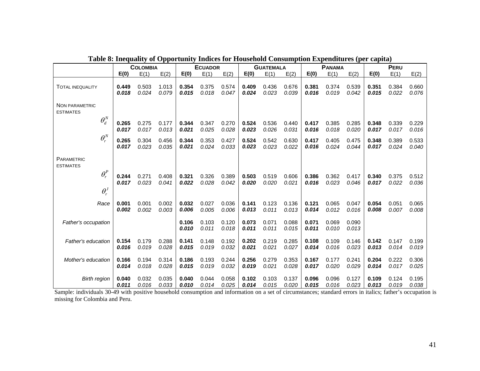|                                       |       | <b>COLOMBIA</b> |       |                | <b>ECUADOR</b> |                |                | <b>GUATEMALA</b> |                | <b>PANAMA</b>  |                |                |       | PERU  |       |
|---------------------------------------|-------|-----------------|-------|----------------|----------------|----------------|----------------|------------------|----------------|----------------|----------------|----------------|-------|-------|-------|
|                                       | E(0)  | E(1)            | E(2)  | E(0)           | E(1)           | E(2)           | E(0)           | E(1)             | E(2)           | E(0)           | E(1)           | E(2)           | E(0)  | E(1)  | E(2)  |
| <b>TOTAL INEQUALITY</b>               | 0.449 | 0.503           | 1.013 | 0.354          | 0.375          | 0.574          | 0.409          | 0.436            | 0.676          | 0.381          | 0.374          | 0.539          | 0.351 | 0.384 | 0.660 |
|                                       | 0.018 | 0.024           | 0.079 | 0.015          | 0.018          | 0.047          | 0.024          | 0.023            | 0.039          | 0.016          | 0.019          | 0.042          | 0.015 | 0.022 | 0.076 |
| NON PARAMETRIC<br><b>ESTIMATES</b>    |       |                 |       |                |                |                |                |                  |                |                |                |                |       |       |       |
| $\theta_d^N$                          | 0.265 | 0.275           | 0.177 | 0.344          | 0.347          | 0.270          | 0.524          | 0.536            | 0.440          | 0.417          | 0.385          | 0.285          | 0.348 | 0.339 | 0.229 |
|                                       | 0.017 | 0.017           | 0.013 | 0.021          | 0.025          | 0.028          | 0.023          | 0.026            | 0.031          | 0.016          | 0.018          | 0.020          | 0.017 | 0.017 | 0.016 |
| $\theta_{r}^{N}$                      | 0.265 | 0.304           | 0.456 | 0.344          | 0.353          | 0.427          | 0.524          | 0.542            | 0.630          | 0.417          | 0.405          | 0.475          | 0.348 | 0.389 | 0.533 |
|                                       | 0.017 | 0.023           | 0.035 | 0.021          | 0.024          | 0.033          | 0.023          | 0.023            | 0.022          | 0.016          | 0.024          | 0.044          | 0.017 | 0.024 | 0.040 |
| <b>PARAMETRIC</b><br><b>ESTIMATES</b> |       |                 |       |                |                |                |                |                  |                |                |                |                |       |       |       |
| $\theta_r^P$                          | 0.244 | 0.271           | 0.408 | 0.321          | 0.326          | 0.389          | 0.503          | 0.519            | 0.606          | 0.386          | 0.362          | 0.417          | 0.340 | 0.375 | 0.512 |
|                                       | 0.017 | 0.023           | 0.041 | 0.022          | 0.028          | 0.042          | 0.020          | 0.020            | 0.021          | 0.016          | 0.023          | 0.046          | 0.017 | 0.022 | 0.036 |
| $\theta_r^J$                          |       |                 |       |                |                |                |                |                  |                |                |                |                |       |       |       |
| Race                                  | 0.001 | 0.001           | 0.002 | 0.032          | 0.027          | 0.036          | 0.141          | 0.123            | 0.136          | 0.121          | 0.065          | 0.047          | 0.054 | 0.051 | 0.065 |
|                                       | 0.002 | 0.002           | 0.003 | 0.006          | 0.005          | 0.006          | 0.013          | 0.011            | 0.013          | 0.014          | 0.012          | 0.016          | 0.008 | 0.007 | 0.008 |
| Father's occupation                   |       |                 |       | 0.106<br>0.010 | 0.103<br>0.011 | 0.120<br>0.018 | 0.073<br>0.011 | 0.071<br>0.011   | 0.088<br>0.015 | 0.071<br>0.011 | 0.069<br>0.010 | 0.090<br>0.013 |       |       |       |
| Father's education                    | 0.154 | 0.179           | 0.288 | 0.141          | 0.148          | 0.192          | 0.202          | 0.219            | 0.285          | 0.108          | 0.109          | 0.146          | 0.142 | 0.147 | 0.199 |
|                                       | 0.016 | 0.019           | 0.028 | 0.015          | 0.019          | 0.032          | 0.021          | 0.021            | 0.027          | 0.014          | 0.016          | 0.023          | 0.013 | 0.014 | 0.019 |
| Mother's education                    | 0.166 | 0.194           | 0.314 | 0.186          | 0.193          | 0.244          | 0.256          | 0.279            | 0.353          | 0.167          | 0.177          | 0.241          | 0.204 | 0.222 | 0.306 |
|                                       | 0.014 | 0.018           | 0.028 | 0.015          | 0.019          | 0.032          | 0.019          | 0.021            | 0.028          | 0.017          | 0.020          | 0.029          | 0.014 | 0.017 | 0.025 |
| <b>Birth region</b>                   | 0.040 | 0.032           | 0.035 | 0.040          | 0.044          | 0.058          | 0.102          | 0.103            | 0.137          | 0.096          | 0.096          | 0.127          | 0.109 | 0.124 | 0.195 |
|                                       | 0.011 | 0.016           | 0.033 | 0.010          | 0.014          | 0.025          | 0.014          | 0.015            | 0.020          | 0.015          | 0.016          | 0.023          | 0.013 | 0.019 | 0.038 |

**Table 8: Inequality of Opportunity Indices for Household Consumption Expenditures (per capita)** 

Sample: individuals 30-49 with positive household consumption and information on a set of circumstances; standard errors in italics; father's occupation is missing for Colombia and Peru.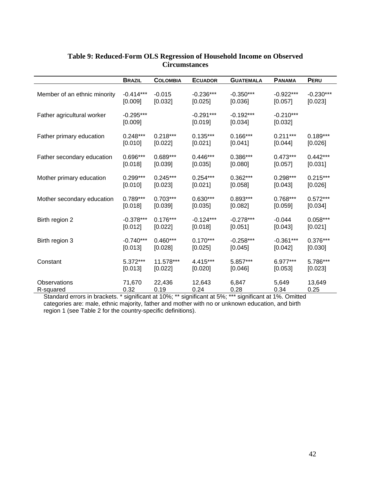|                              | <b>BRAZIL</b>          | <b>COLOMBIA</b> | <b>ECUADOR</b>         | <b>GUATEMALA</b>       | <b>PANAMA</b>          | <b>PERU</b> |
|------------------------------|------------------------|-----------------|------------------------|------------------------|------------------------|-------------|
| Member of an ethnic minority | $-0.414***$            | $-0.015$        | $-0.236***$            | $-0.350***$            | $-0.922***$            | $-0.230***$ |
|                              | [0.009]                | [0.032]         | [0.025]                | [0.036]                | [0.057]                | [0.023]     |
| Father agricultural worker   | $-0.295***$<br>[0.009] |                 | $-0.291***$<br>[0.019] | $-0.192***$<br>[0.034] | $-0.210***$<br>[0.032] |             |
| Father primary education     | $0.248***$             | $0.218***$      | $0.135***$             | $0.166***$             | $0.211***$             | $0.189***$  |
|                              | [0.010]                | [0.022]         | [0.021]                | [0.041]                | [0.044]                | [0.026]     |
| Father secondary education   | 0.696***               | $0.689***$      | $0.446***$             | $0.386***$             | $0.473***$             | $0.442***$  |
|                              | [0.018]                | [0.039]         | [0.035]                | [0.080]                | [0.057]                | [0.031]     |
| Mother primary education     | $0.299***$             | $0.245***$      | $0.254***$             | $0.362***$             | $0.298***$             | $0.215***$  |
|                              | [0.010]                | [0.023]         | [0.021]                | [0.058]                | [0.043]                | [0.026]     |
| Mother secondary education   | $0.789***$             | $0.703***$      | $0.630***$             | $0.893***$             | $0.768***$             | $0.572***$  |
|                              | [0.018]                | [0.039]         | [0.035]                | [0.082]                | [0.059]                | [0.034]     |
| Birth region 2               | $-0.378***$            | $0.176***$      | $-0.124***$            | $-0.278***$            | $-0.044$               | $0.058***$  |
|                              | [0.012]                | [0.022]         | [0.018]                | [0.051]                | [0.043]                | [0.021]     |
| Birth region 3               | $-0.740***$            | $0.460***$      | $0.170***$             | $-0.258***$            | $-0.361***$            | $0.376***$  |
|                              | [0.013]                | [0.028]         | [0.025]                | [0.045]                | [0.042]                | [0.030]     |
| Constant                     | $5.372***$             | 11.578***       | 4.415***               | 5.857***               | $6.977***$             | 5.786***    |
|                              | [0.013]                | [0.022]         | [0.020]                | [0.046]                | [0.053]                | [0.023]     |
| Observations                 | 71,670                 | 22,436          | 12,643                 | 6,847                  | 5,649                  | 13,649      |
| R-squared                    | 0.32                   | 0.19            | 0.24                   | 0.28                   | 0.34                   | 0.25        |

### **Table 9: Reduced-Form OLS Regression of Household Income on Observed Circumstances**

Standard errors in brackets. \* significant at 10%; \*\* significant at 5%; \*\*\* significant at 1%. Omitted categories are: male, ethnic majority, father and mother with no or unknown education, and birth region 1 (see Table 2 for the country-specific definitions).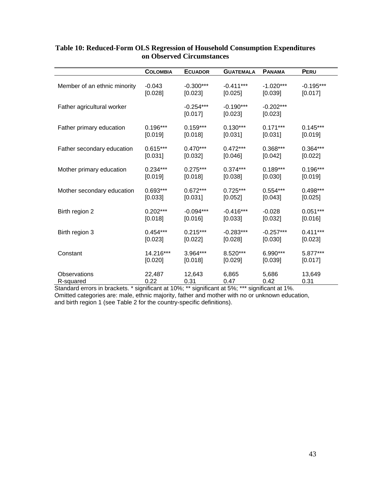|                              | <b>COLOMBIA</b> | <b>ECUADOR</b>         | <b>GUATEMALA</b>       | <b>PANAMA</b>          | PERU        |
|------------------------------|-----------------|------------------------|------------------------|------------------------|-------------|
| Member of an ethnic minority | $-0.043$        | $-0.300***$            | $-0.411***$            | $-1.020***$            | $-0.195***$ |
|                              | [0.028]         | [0.023]                | [0.025]                | [0.039]                | [0.017]     |
| Father agricultural worker   |                 | $-0.254***$<br>[0.017] | $-0.190***$<br>[0.023] | $-0.202***$<br>[0.023] |             |
| Father primary education     | $0.196***$      | $0.159***$             | $0.130***$             | $0.171***$             | $0.145***$  |
|                              | [0.019]         | [0.018]                | [0.031]                | [0.031]                | [0.019]     |
| Father secondary education   | $0.615***$      | $0.470***$             | $0.472***$             | $0.368***$             | $0.364***$  |
|                              | [0.031]         | [0.032]                | [0.046]                | [0.042]                | [0.022]     |
| Mother primary education     | $0.234***$      | $0.275***$             | $0.374***$             | $0.189***$             | $0.196***$  |
|                              | [0.019]         | [0.018]                | [0.038]                | [0.030]                | [0.019]     |
| Mother secondary education   | $0.693***$      | $0.672***$             | $0.725***$             | $0.554***$             | $0.498***$  |
|                              | [0.033]         | [0.031]                | [0.052]                | [0.043]                | [0.025]     |
| Birth region 2               | $0.202***$      | $-0.094***$            | $-0.416***$            | $-0.028$               | $0.051***$  |
|                              | [0.018]         | [0.016]                | [0.033]                | [0.032]                | [0.016]     |
| Birth region 3               | $0.454***$      | $0.215***$             | $-0.283***$            | $-0.257***$            | $0.411***$  |
|                              | [0.023]         | [0.022]                | [0.028]                | [0.030]                | [0.023]     |
| Constant                     | 14.216***       | 3.964***               | 8.520***               | 6.990***               | 5.877***    |
|                              | [0.020]         | [0.018]                | [0.029]                | [0.039]                | [0.017]     |
| Observations                 | 22,487          | 12,643                 | 6,865                  | 5,686                  | 13,649      |
| R-squared                    | 0.22            | 0.31                   | 0.47                   | 0.42                   | 0.31        |

### **Table 10: Reduced-Form OLS Regression of Household Consumption Expenditures on Observed Circumstances**

Standard errors in brackets. \* significant at 10%; \*\* significant at 5%; \*\*\* significant at 1%. Omitted categories are: male, ethnic majority, father and mother with no or unknown education, and birth region 1 (see Table 2 for the country-specific definitions).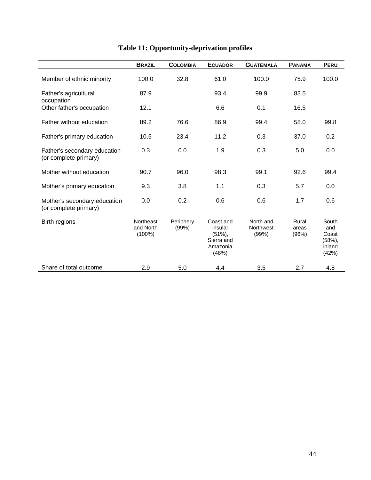|                                                       | <b>BRAZIL</b>                       | <b>COLOMBIA</b>    | <b>ECUADOR</b>                                                       | <b>GUATEMALA</b>                | <b>PANAMA</b>           | PERU                                              |
|-------------------------------------------------------|-------------------------------------|--------------------|----------------------------------------------------------------------|---------------------------------|-------------------------|---------------------------------------------------|
| Member of ethnic minority                             | 100.0                               | 32.8               | 61.0                                                                 | 100.0                           | 75.9                    | 100.0                                             |
| Father's agricultural                                 | 87.9                                |                    | 93.4                                                                 | 99.9                            | 83.5                    |                                                   |
| occupation<br>Other father's occupation               | 12.1                                |                    | 6.6                                                                  | 0.1                             | 16.5                    |                                                   |
| Father without education                              | 89.2                                | 76.6               | 86.9                                                                 | 99.4                            | 58.0                    | 99.8                                              |
| Father's primary education                            | 10.5                                | 23.4               | 11.2                                                                 | 0.3                             | 37.0                    | 0.2                                               |
| Father's secondary education<br>(or complete primary) | 0.3                                 | 0.0                | 1.9                                                                  | 0.3                             | 5.0                     | 0.0                                               |
| Mother without education                              | 90.7                                | 96.0               | 98.3                                                                 | 99.1                            | 92.6                    | 99.4                                              |
| Mother's primary education                            | 9.3                                 | 3.8                | 1.1                                                                  | 0.3                             | 5.7                     | 0.0                                               |
| Mother's secondary education<br>(or complete primary) | 0.0                                 | 0.2                | 0.6                                                                  | 0.6                             | 1.7                     | 0.6                                               |
| Birth regions                                         | Northeast<br>and North<br>$(100\%)$ | Periphery<br>(99%) | Coast and<br>insular<br>$(51\%),$<br>Sierra and<br>Amazonia<br>(48%) | North and<br>Northwest<br>(99%) | Rural<br>areas<br>(96%) | South<br>and<br>Coast<br>(58%)<br>inland<br>(42%) |
| Share of total outcome                                | 2.9                                 | 5.0                | 4.4                                                                  | 3.5                             | 2.7                     | 4.8                                               |

# **Table 11: Opportunity-deprivation profiles**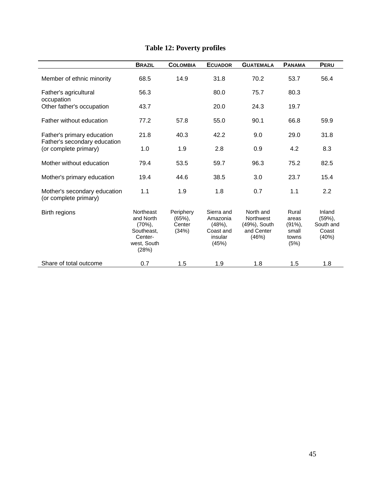|                                                            | <b>BRAZIL</b>                                                                         | <b>COLOMBIA</b>                           | <b>ECUADOR</b>                                                   | <b>GUATEMALA</b>                                                     | <b>PANAMA</b>                                          | <b>PERU</b>                                    |
|------------------------------------------------------------|---------------------------------------------------------------------------------------|-------------------------------------------|------------------------------------------------------------------|----------------------------------------------------------------------|--------------------------------------------------------|------------------------------------------------|
| Member of ethnic minority                                  | 68.5                                                                                  | 14.9                                      | 31.8                                                             | 70.2                                                                 | 53.7                                                   | 56.4                                           |
| Father's agricultural<br>occupation                        | 56.3                                                                                  |                                           | 80.0                                                             | 75.7                                                                 | 80.3                                                   |                                                |
| Other father's occupation                                  | 43.7                                                                                  |                                           | 20.0                                                             | 24.3                                                                 | 19.7                                                   |                                                |
| Father without education                                   | 77.2                                                                                  | 57.8                                      | 55.0                                                             | 90.1                                                                 | 66.8                                                   | 59.9                                           |
| Father's primary education<br>Father's secondary education | 21.8                                                                                  | 40.3                                      | 42.2                                                             | 9.0                                                                  | 29.0                                                   | 31.8                                           |
| (or complete primary)                                      | 1.0                                                                                   | 1.9                                       | 2.8                                                              | 0.9                                                                  | 4.2                                                    | 8.3                                            |
| Mother without education                                   | 79.4                                                                                  | 53.5                                      | 59.7                                                             | 96.3                                                                 | 75.2                                                   | 82.5                                           |
| Mother's primary education                                 | 19.4                                                                                  | 44.6                                      | 38.5                                                             | 3.0                                                                  | 23.7                                                   | 15.4                                           |
| Mother's secondary education<br>(or complete primary)      | 1.1                                                                                   | 1.9                                       | 1.8                                                              | 0.7                                                                  | 1.1                                                    | 2.2                                            |
| Birth regions                                              | Northeast<br>and North<br>$(70\%)$ .<br>Southeast.<br>Center-<br>west, South<br>(28%) | Periphery<br>$(65%)$ ,<br>Center<br>(34%) | Sierra and<br>Amazonia<br>(48%)<br>Coast and<br>insular<br>(45%) | North and<br><b>Northwest</b><br>(49%), South<br>and Center<br>(46%) | Rural<br>areas<br>$(91\%)$ ,<br>small<br>towns<br>(5%) | Inland<br>(59%)<br>South and<br>Coast<br>(40%) |
| Share of total outcome                                     | 0.7                                                                                   | 1.5                                       | 1.9                                                              | 1.8                                                                  | 1.5                                                    | 1.8                                            |

# **Table 12: Poverty profiles**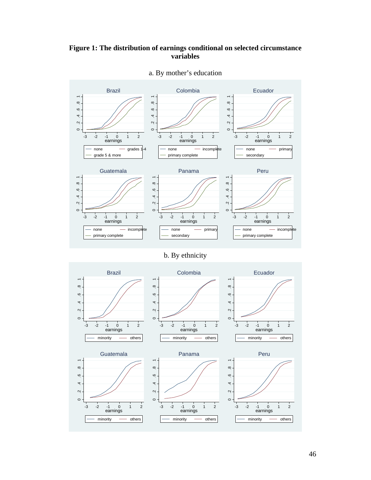## **Figure 1: The distribution of earnings conditional on selected circumstance variables**



a. By mother's education

# b. By ethnicity

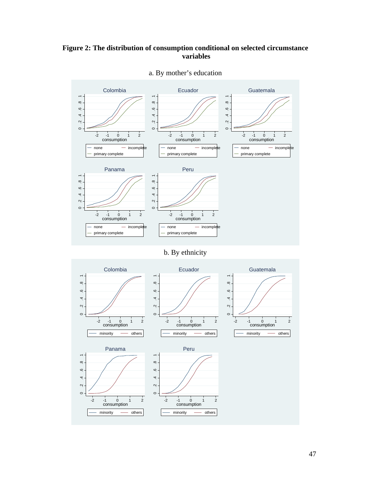## **Figure 2: The distribution of consumption conditional on selected circumstance variables**



a. By mother's education

b. By ethnicity

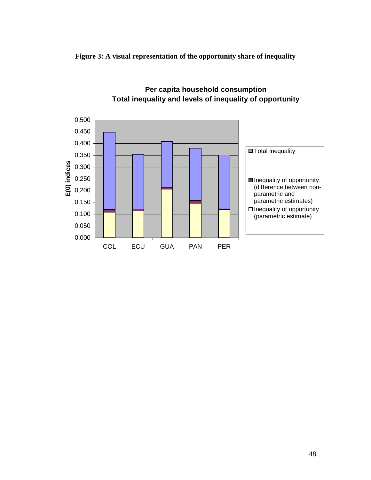



# **Per capita household consumption Total inequality and levels of inequality of opportunity**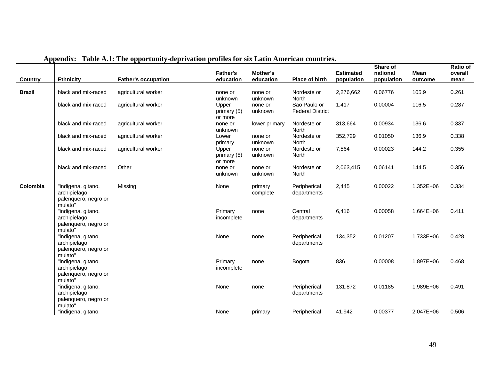| <b>Country</b> | <b>Ethnicity</b>                                                       | <b>Father's occupation</b> | <b>Father's</b><br>education    | Mother's<br>education | Place of birth                          | <b>Estimated</b><br>population | Share of<br>national<br>population | <b>Mean</b><br>outcome | <b>Ratio of</b><br>overall<br>mean |
|----------------|------------------------------------------------------------------------|----------------------------|---------------------------------|-----------------------|-----------------------------------------|--------------------------------|------------------------------------|------------------------|------------------------------------|
| <b>Brazil</b>  | black and mix-raced                                                    | agricultural worker        | none or<br>unknown              | none or<br>unknown    | Nordeste or<br>North                    | 2,276,662                      | 0.06776                            | 105.9                  | 0.261                              |
|                | black and mix-raced                                                    | agricultural worker        | Upper<br>primary (5)<br>or more | none or<br>unknown    | Sao Paulo or<br><b>Federal District</b> | 1,417                          | 0.00004                            | 116.5                  | 0.287                              |
|                | black and mix-raced                                                    | agricultural worker        | none or<br>unknown              | lower primary         | Nordeste or<br>North                    | 313,664                        | 0.00934                            | 136.6                  | 0.337                              |
|                | black and mix-raced                                                    | agricultural worker        | Lower<br>primary                | none or<br>unknown    | Nordeste or<br>North                    | 352,729                        | 0.01050                            | 136.9                  | 0.338                              |
|                | black and mix-raced                                                    | agricultural worker        | Upper<br>primary (5)<br>or more | none or<br>unknown    | Nordeste or<br>North                    | 7,564                          | 0.00023                            | 144.2                  | 0.355                              |
|                | black and mix-raced                                                    | Other                      | none or<br>unknown              | none or<br>unknown    | Nordeste or<br>North                    | 2,063,415                      | 0.06141                            | 144.5                  | 0.356                              |
| Colombia       | "indigena, gitano,<br>archipielago,<br>palenquero, negro or<br>mulato" | Missing                    | None                            | primary<br>complete   | Peripherical<br>departments             | 2,445                          | 0.00022                            | 1.352E+06              | 0.334                              |
|                | "indigena, gitano,<br>archipielago,<br>palenquero, negro or<br>mulato" |                            | Primary<br>incomplete           | none                  | Central<br>departments                  | 6,416                          | 0.00058                            | 1.664E+06              | 0.411                              |
|                | "indigena, gitano,<br>archipielago,<br>palenquero, negro or<br>mulato" |                            | None                            | none                  | Peripherical<br>departments             | 134,352                        | 0.01207                            | 1.733E+06              | 0.428                              |
|                | "indigena, gitano,<br>archipielago,<br>palenquero, negro or<br>mulato" |                            | Primary<br>incomplete           | none                  | Bogota                                  | 836                            | 0.00008                            | 1.897E+06              | 0.468                              |
|                | "indigena, gitano,<br>archipielago,<br>palenquero, negro or<br>mulato" |                            | None                            | none                  | Peripherical<br>departments             | 131,872                        | 0.01185                            | 1.989E+06              | 0.491                              |
|                | "indigena, gitano,                                                     |                            | None                            | primary               | Peripherical                            | 41,942                         | 0.00377                            | 2.047E+06              | 0.506                              |

### **Appendix: Table A.1: The opportunity-deprivation profiles for six Latin American countries.**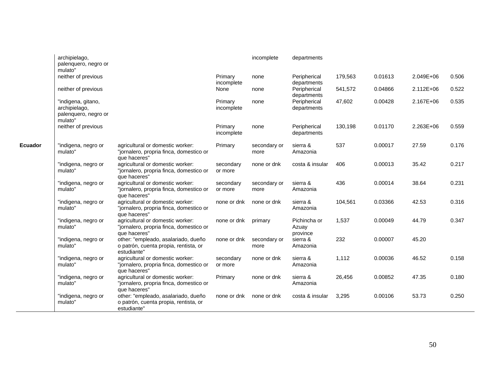|         | archipielago,<br>palenquero, negro or                                  |                                                                                             |                       | incomplete           | departments                       |         |         |           |       |
|---------|------------------------------------------------------------------------|---------------------------------------------------------------------------------------------|-----------------------|----------------------|-----------------------------------|---------|---------|-----------|-------|
|         | mulato"<br>neither of previous                                         |                                                                                             | Primary<br>incomplete | none                 | Peripherical<br>departments       | 179,563 | 0.01613 | 2.049E+06 | 0.506 |
|         | neither of previous                                                    |                                                                                             | None                  | none                 | Peripherical<br>departments       | 541,572 | 0.04866 | 2.112E+06 | 0.522 |
|         | "indigena, gitano,<br>archipielago,<br>palenquero, negro or<br>mulato" |                                                                                             | Primary<br>incomplete | none                 | Peripherical<br>departments       | 47,602  | 0.00428 | 2.167E+06 | 0.535 |
|         | neither of previous                                                    |                                                                                             | Primary<br>incomplete | none                 | Peripherical<br>departments       | 130,198 | 0.01170 | 2.263E+06 | 0.559 |
| Ecuador | "indigena, negro or<br>mulato"                                         | agricultural or domestic worker:<br>"jornalero, propria finca, domestico or<br>que haceres" | Primary               | secondary or<br>more | sierra &<br>Amazonia              | 537     | 0.00017 | 27.59     | 0.176 |
|         | "indigena, negro or<br>mulato"                                         | agricultural or domestic worker:<br>"jornalero, propria finca, domestico or<br>que haceres" | secondary<br>or more  | none or dnk          | costa & insular                   | 406     | 0.00013 | 35.42     | 0.217 |
|         | "indigena, negro or<br>mulato"                                         | agricultural or domestic worker:<br>"jornalero, propria finca, domestico or<br>que haceres" | secondary<br>or more  | secondary or<br>more | sierra &<br>Amazonia              | 436     | 0.00014 | 38.64     | 0.231 |
|         | "indigena, negro or<br>mulato"                                         | agricultural or domestic worker:<br>"jornalero, propria finca, domestico or<br>que haceres" | none or dnk           | none or dnk          | sierra &<br>Amazonia              | 104,561 | 0.03366 | 42.53     | 0.316 |
|         | "indigena, negro or<br>mulato"                                         | agricultural or domestic worker:<br>"jornalero, propria finca, domestico or<br>que haceres" | none or dnk           | primary              | Pichincha or<br>Azuay<br>province | 1,537   | 0.00049 | 44.79     | 0.347 |
|         | "indigena, negro or<br>mulato"                                         | other: "empleado, asalariado, dueño<br>o patrón, cuenta propia, rentista, or<br>estudiante" | none or dnk           | secondary or<br>more | sierra &<br>Amazonia              | 232     | 0.00007 | 45.20     |       |
|         | "indigena, negro or<br>mulato"                                         | agricultural or domestic worker:<br>"jornalero, propria finca, domestico or<br>que haceres" | secondary<br>or more  | none or dnk          | sierra &<br>Amazonia              | 1,112   | 0.00036 | 46.52     | 0.158 |
|         | "indigena, negro or<br>mulato"                                         | agricultural or domestic worker:<br>"jornalero, propria finca, domestico or<br>que haceres" | Primary               | none or dnk          | sierra &<br>Amazonia              | 26,456  | 0.00852 | 47.35     | 0.180 |
|         | "indigena, negro or<br>mulato'                                         | other: "empleado, asalariado, dueño<br>o patrón, cuenta propia, rentista, or<br>estudiante" | none or dnk           | none or dnk          | costa & insular                   | 3,295   | 0.00106 | 53.73     | 0.250 |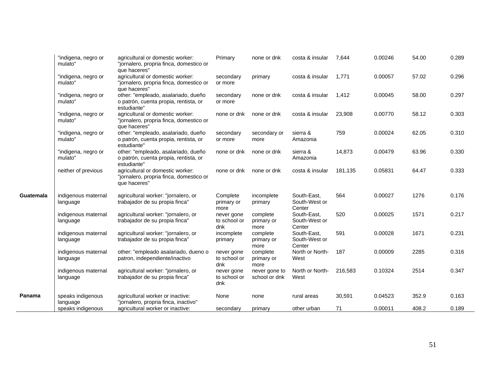|                  | "indigena, negro or<br>mulato"  | agricultural or domestic worker:<br>"jornalero, propria finca, domestico or<br>que haceres" | Primary                           | none or dnk                    | costa & insular                        | 7,644   | 0.00246 | 54.00 | 0.289 |
|------------------|---------------------------------|---------------------------------------------------------------------------------------------|-----------------------------------|--------------------------------|----------------------------------------|---------|---------|-------|-------|
|                  | "indigena, negro or<br>mulato"  | agricultural or domestic worker:<br>"jornalero, propria finca, domestico or<br>que haceres" | secondary<br>or more              | primary                        | costa & insular                        | 1.771   | 0.00057 | 57.02 | 0.296 |
|                  | "indigena, negro or<br>mulato"  | other: "empleado, asalariado, dueño<br>o patrón, cuenta propia, rentista, or<br>estudiante" | secondary<br>or more              | none or dnk                    | costa & insular                        | 1,412   | 0.00045 | 58.00 | 0.297 |
|                  | "indigena, negro or<br>mulato"  | agricultural or domestic worker:<br>"jornalero, propria finca, domestico or<br>que haceres" | none or dnk                       | none or dnk                    | costa & insular                        | 23,908  | 0.00770 | 58.12 | 0.303 |
|                  | "indigena, negro or<br>mulato"  | other: "empleado, asalariado, dueño<br>o patrón, cuenta propia, rentista, or<br>estudiante" | secondary<br>or more              | secondary or<br>more           | sierra &<br>Amazonia                   | 759     | 0.00024 | 62.05 | 0.310 |
|                  | "indigena, negro or<br>mulato"  | other: "empleado, asalariado, dueño<br>o patrón, cuenta propia, rentista, or<br>estudiante" | none or dnk                       | none or dnk                    | sierra &<br>Amazonia                   | 14,873  | 0.00479 | 63.96 | 0.330 |
|                  | neither of previous             | agricultural or domestic worker:<br>"jornalero, propria finca, domestico or<br>que haceres" | none or dnk                       | none or dnk                    | costa & insular                        | 181,135 | 0.05831 | 64.47 | 0.333 |
| <b>Guatemala</b> | indigenous maternal<br>language | agricultural worker: "jornalero, or<br>trabajador de su propia finca"                       | Complete<br>primary or<br>more    | incomplete<br>primary          | South-East,<br>South-West or<br>Center | 564     | 0.00027 | 1276  | 0.176 |
|                  | indigenous maternal<br>language | agricultural worker: "jornalero, or<br>trabajador de su propia finca"                       | never gone<br>to school or<br>dnk | complete<br>primary or<br>more | South-East,<br>South-West or<br>Center | 520     | 0.00025 | 1571  | 0.217 |
|                  | indigenous maternal<br>language | agricultural worker: "jornalero, or<br>trabajador de su propia finca"                       | incomplete<br>primary             | complete<br>primary or<br>more | South-East,<br>South-West or<br>Center | 591     | 0.00028 | 1671  | 0.231 |
|                  | indigenous maternal<br>language | other: "empleado asalariado, dueno o<br>patron, independiente/inactivo                      | never gone<br>to school or<br>dnk | complete<br>primary or<br>more | North or North-<br>West                | 187     | 0.00009 | 2285  | 0.316 |
|                  | indigenous maternal<br>language | agricultural worker: "jornalero, or<br>trabajador de su propia finca"                       | never gone<br>to school or<br>dnk | never gone to<br>school or dnk | North or North-<br>West                | 216,583 | 0.10324 | 2514  | 0.347 |
| Panama           | speaks indigenous<br>language   | agricultural worker or inactive:<br>"jornalero, propria finca, inactivo"                    | None                              | none                           | rural areas                            | 30,591  | 0.04523 | 352.9 | 0.163 |
|                  | speaks indigenous               | agricultural worker or inactive:                                                            | secondary                         | primary                        | other urban                            | 71      | 0.00011 | 408.2 | 0.189 |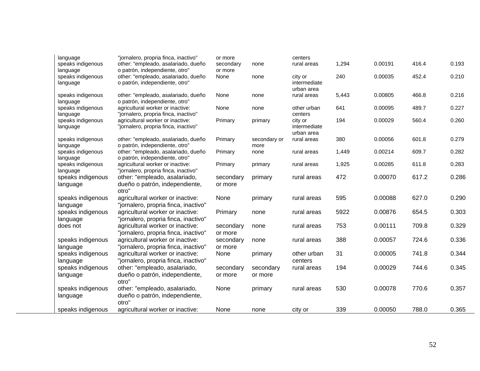| language<br>speaks indigenous<br>language | "jornalero, propria finca, inactivo"<br>other: "empleado, asalariado, dueño<br>o patrón, independiente, otro" | or more<br>secondary<br>or more | none                 | centers<br>rural areas                | 1,294 | 0.00191 | 416.4 | 0.193 |
|-------------------------------------------|---------------------------------------------------------------------------------------------------------------|---------------------------------|----------------------|---------------------------------------|-------|---------|-------|-------|
| speaks indigenous<br>language             | other: "empleado, asalariado, dueño<br>o patrón, independiente, otro"                                         | None                            | none                 | city or<br>intermediate<br>urban area | 240   | 0.00035 | 452.4 | 0.210 |
| speaks indigenous<br>language             | other: "empleado, asalariado, dueño<br>o patrón, independiente, otro"                                         | None                            | none                 | rural areas                           | 5,443 | 0.00805 | 466.8 | 0.216 |
| speaks indigenous<br>language             | agricultural worker or inactive:<br>"jornalero, propria finca, inactivo"                                      | None                            | none                 | other urban<br>centers                | 641   | 0.00095 | 489.7 | 0.227 |
| speaks indigenous<br>language             | agricultural worker or inactive:<br>"jornalero, propria finca, inactivo"                                      | Primary                         | primary              | city or<br>intermediate<br>urban area | 194   | 0.00029 | 560.4 | 0.260 |
| speaks indigenous<br>language             | other: "empleado, asalariado, dueño<br>o patrón, independiente, otro"                                         | Primary                         | secondary or<br>more | rural areas                           | 380   | 0.00056 | 601.8 | 0.279 |
| speaks indigenous<br>language             | other: "empleado, asalariado, dueño<br>o patrón, independiente, otro"                                         | Primary                         | none                 | rural areas                           | 1,449 | 0.00214 | 609.7 | 0.282 |
| speaks indigenous<br>language             | agricultural worker or inactive:<br>"jornalero, propria finca, inactivo"                                      | Primary                         | primary              | rural areas                           | 1,925 | 0.00285 | 611.8 | 0.283 |
| speaks indigenous<br>language             | other: "empleado, asalariado,<br>dueño o patrón, independiente,<br>otro"                                      | secondary<br>or more            | primary              | rural areas                           | 472   | 0.00070 | 617.2 | 0.286 |
| speaks indigenous<br>language             | agricultural worker or inactive:<br>"jornalero, propria finca, inactivo"                                      | None                            | primary              | rural areas                           | 595   | 0.00088 | 627.0 | 0.290 |
| speaks indigenous<br>language             | agricultural worker or inactive:<br>"jornalero, propria finca, inactivo"                                      | Primary                         | none                 | rural areas                           | 5922  | 0.00876 | 654.5 | 0.303 |
| does not                                  | agricultural worker or inactive:<br>"jornalero, propria finca, inactivo"                                      | secondary<br>or more            | none                 | rural areas                           | 753   | 0.00111 | 709.8 | 0.329 |
| speaks indigenous<br>language             | agricultural worker or inactive:<br>"jornalero, propria finca, inactivo"                                      | secondary<br>or more            | none                 | rural areas                           | 388   | 0.00057 | 724.6 | 0.336 |
| speaks indigenous<br>language             | agricultural worker or inactive:<br>"jornalero, propria finca, inactivo"                                      | None                            | primary              | other urban<br>centers                | 31    | 0.00005 | 741.8 | 0.344 |
| speaks indigenous<br>language             | other: "empleado, asalariado,<br>dueño o patrón, independiente,<br>otro"                                      | secondary<br>or more            | secondary<br>or more | rural areas                           | 194   | 0.00029 | 744.6 | 0.345 |
| speaks indigenous<br>language             | other: "empleado, asalariado,<br>dueño o patrón, independiente,<br>otro"                                      | None                            | primary              | rural areas                           | 530   | 0.00078 | 770.6 | 0.357 |
| speaks indigenous                         | agricultural worker or inactive:                                                                              | None                            | none                 | city or                               | 339   | 0.00050 | 788.0 | 0.365 |